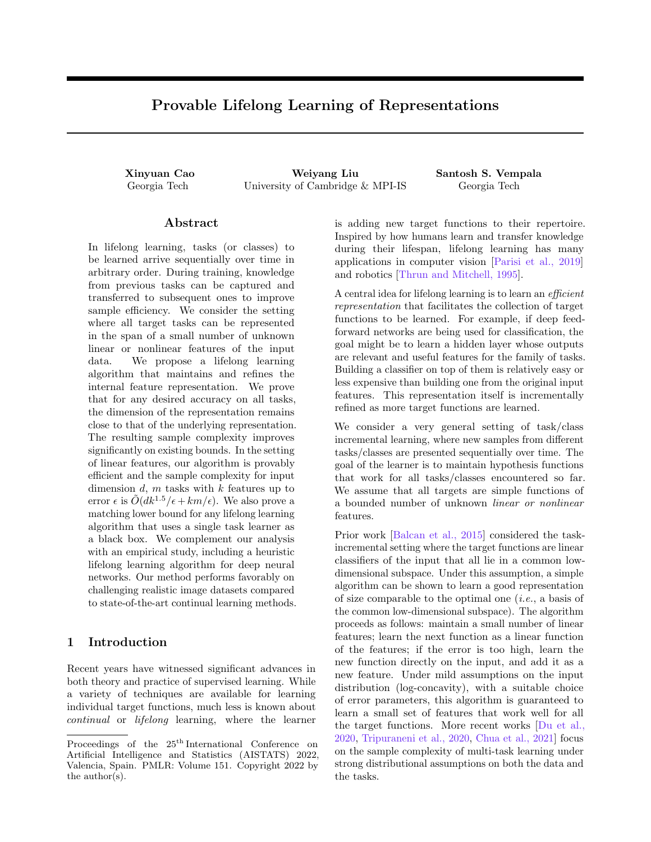# <span id="page-0-0"></span>Provable Lifelong Learning of Representations

Xinyuan Cao Weiyang Liu Santosh S. Vempala Georgia Tech University of Cambridge & MPI-IS Georgia Tech

### Abstract

In lifelong learning, tasks (or classes) to be learned arrive sequentially over time in arbitrary order. During training, knowledge from previous tasks can be captured and transferred to subsequent ones to improve sample efficiency. We consider the setting where all target tasks can be represented in the span of a small number of unknown linear or nonlinear features of the input data. We propose a lifelong learning algorithm that maintains and refines the internal feature representation. We prove that for any desired accuracy on all tasks, the dimension of the representation remains close to that of the underlying representation. The resulting sample complexity improves significantly on existing bounds. In the setting of linear features, our algorithm is provably efficient and the sample complexity for input dimension  $d$ ,  $m$  tasks with  $k$  features up to error  $\epsilon$  is  $\tilde{O}(dk^{1.5}/\epsilon + km/\epsilon)$ . We also prove a matching lower bound for any lifelong learning algorithm that uses a single task learner as a black box. We complement our analysis with an empirical study, including a heuristic lifelong learning algorithm for deep neural networks. Our method performs favorably on challenging realistic image datasets compared to state-of-the-art continual learning methods.

# 1 Introduction

Recent years have witnessed significant advances in both theory and practice of supervised learning. While a variety of techniques are available for learning individual target functions, much less is known about continual or lifelong learning, where the learner is adding new target functions to their repertoire. Inspired by how humans learn and transfer knowledge during their lifespan, lifelong learning has many applications in computer vision [\[Parisi et al., 2019\]](#page-10-0) and robotics [\[Thrun and Mitchell, 1995\]](#page-10-1).

A central idea for lifelong learning is to learn an efficient representation that facilitates the collection of target functions to be learned. For example, if deep feedforward networks are being used for classification, the goal might be to learn a hidden layer whose outputs are relevant and useful features for the family of tasks. Building a classifier on top of them is relatively easy or less expensive than building one from the original input features. This representation itself is incrementally refined as more target functions are learned.

We consider a very general setting of task/class incremental learning, where new samples from different tasks/classes are presented sequentially over time. The goal of the learner is to maintain hypothesis functions that work for all tasks/classes encountered so far. We assume that all targets are simple functions of a bounded number of unknown linear or nonlinear features.

Prior work [\[Balcan et al., 2015\]](#page-9-0) considered the taskincremental setting where the target functions are linear classifiers of the input that all lie in a common lowdimensional subspace. Under this assumption, a simple algorithm can be shown to learn a good representation of size comparable to the optimal one (i.e., a basis of the common low-dimensional subspace). The algorithm proceeds as follows: maintain a small number of linear features; learn the next function as a linear function of the features; if the error is too high, learn the new function directly on the input, and add it as a new feature. Under mild assumptions on the input distribution (log-concavity), with a suitable choice of error parameters, this algorithm is guaranteed to learn a small set of features that work well for all the target functions. More recent works [\[Du et al.,](#page-9-1) [2020,](#page-9-1) [Tripuraneni et al., 2020,](#page-10-2) [Chua et al., 2021\]](#page-9-2) focus on the sample complexity of multi-task learning under strong distributional assumptions on both the data and the tasks.

Proceedings of the  $25<sup>th</sup>$  International Conference on Artificial Intelligence and Statistics (AISTATS) 2022, Valencia, Spain. PMLR: Volume 151. Copyright 2022 by the author(s).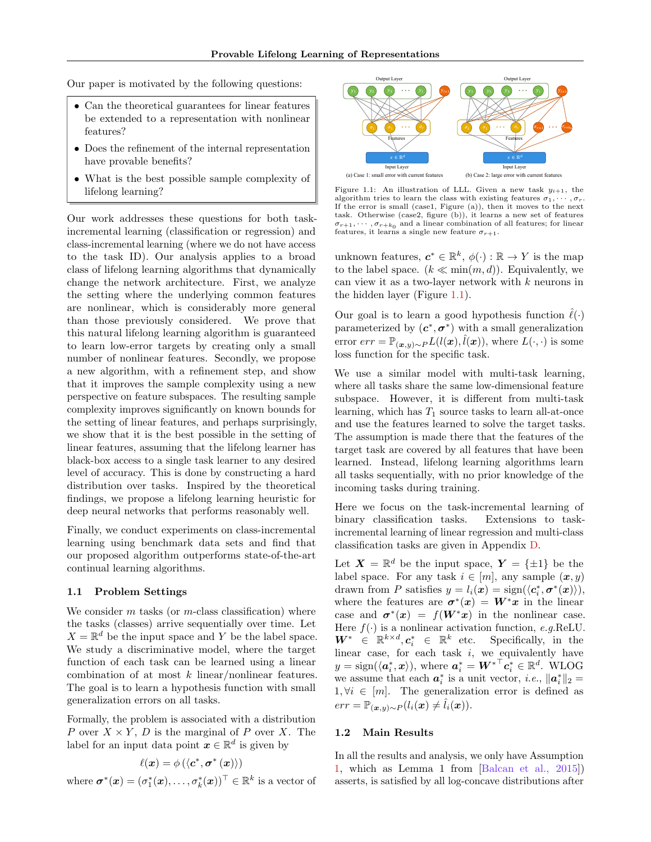<span id="page-1-1"></span>Our paper is motivated by the following questions:

- Can the theoretical guarantees for linear features be extended to a representation with nonlinear features?
- Does the refinement of the internal representation have provable benefits?
- What is the best possible sample complexity of lifelong learning?

Our work addresses these questions for both taskincremental learning (classification or regression) and class-incremental learning (where we do not have access to the task ID). Our analysis applies to a broad class of lifelong learning algorithms that dynamically change the network architecture. First, we analyze the setting where the underlying common features are nonlinear, which is considerably more general than those previously considered. We prove that this natural lifelong learning algorithm is guaranteed to learn low-error targets by creating only a small number of nonlinear features. Secondly, we propose a new algorithm, with a refinement step, and show that it improves the sample complexity using a new perspective on feature subspaces. The resulting sample complexity improves significantly on known bounds for the setting of linear features, and perhaps surprisingly, we show that it is the best possible in the setting of linear features, assuming that the lifelong learner has black-box access to a single task learner to any desired level of accuracy. This is done by constructing a hard distribution over tasks. Inspired by the theoretical findings, we propose a lifelong learning heuristic for deep neural networks that performs reasonably well.

Finally, we conduct experiments on class-incremental learning using benchmark data sets and find that our proposed algorithm outperforms state-of-the-art continual learning algorithms.

#### 1.1 Problem Settings

We consider  $m$  tasks (or  $m$ -class classification) where the tasks (classes) arrive sequentially over time. Let  $X = \mathbb{R}^d$  be the input space and Y be the label space. We study a discriminative model, where the target function of each task can be learned using a linear combination of at most  $k$  linear/nonlinear features. The goal is to learn a hypothesis function with small generalization errors on all tasks.

Formally, the problem is associated with a distribution P over  $X \times Y$ , D is the marginal of P over X. The label for an input data point  $\boldsymbol{x} \in \mathbb{R}^d$  is given by

$$
\ell(\bm{x}) = \phi\left(\left\langle \bm{c}^*, \bm{\sigma}^*\left(\bm{x}\right)\right\rangle\right)
$$

where  $\boldsymbol{\sigma}^*(\boldsymbol{x}) = (\sigma_1^*(\boldsymbol{x}), \dots, \sigma_k^*(\boldsymbol{x}))^\top \in \mathbb{R}^k$  is a vector of

<span id="page-1-0"></span>

Figure 1.1: An illustration of LLL. Given a new task  $y_{i+1}$ , the algorithm tries to learn the class with existing features  $\sigma_1, \cdots, \sigma_r$ . If the error is small (case1, Figure (a)), then it moves to the next task. Otherwise (case2, figure (b)), it learns a new set of features  $\sigma_{r+1}, \cdots, \sigma_{r+k_0}$  and a linear combination of all features; for linear features, it learns a single new feature  $\sigma_{r+1}$ .

unknown features,  $c^* \in \mathbb{R}^k$ ,  $\phi(\cdot) : \mathbb{R} \to Y$  is the map to the label space.  $(k \ll \min(m, d))$ . Equivalently, we can view it as a two-layer network with k neurons in the hidden layer (Figure [1.1\)](#page-1-0).

Our goal is to learn a good hypothesis function  $\hat{\ell}(\cdot)$ parameterized by  $(c^*, \sigma^*)$  with a small generalization error  $err = \mathbb{P}_{(\bm{x},y)\sim P} L(l(\bm{x}), \hat{l}(\bm{x}))$ , where  $L(\cdot, \cdot)$  is some loss function for the specific task.

We use a similar model with multi-task learning, where all tasks share the same low-dimensional feature subspace. However, it is different from multi-task learning, which has  $T_1$  source tasks to learn all-at-once and use the features learned to solve the target tasks. The assumption is made there that the features of the target task are covered by all features that have been learned. Instead, lifelong learning algorithms learn all tasks sequentially, with no prior knowledge of the incoming tasks during training.

Here we focus on the task-incremental learning of binary classification tasks. Extensions to taskincremental learning of linear regression and multi-class classification tasks are given in Appendix [D.](#page-19-0)

Let  $\mathbf{X} = \mathbb{R}^d$  be the input space,  $\mathbf{Y} = {\pm 1}$  be the label space. For any task  $i \in [m]$ , any sample  $(x, y)$ drawn from P satisfies  $y = l_i(\boldsymbol{x}) = \text{sign}(\langle \boldsymbol{c}_i^*, \boldsymbol{\sigma}^*(\boldsymbol{x}) \rangle),$ where the features are  $\sigma^*(x) = W^*x$  in the linear case and  $\sigma^*(x) = f(W^*x)$  in the nonlinear case. Here  $f(.)$  is a nonlinear activation function, e.g.ReLU.  $W^* \in \mathbb{R}^{k \times d}$ ,  $c_i^* \in \mathbb{R}^k$  etc. Specifically, in the linear case, for each task  $i$ , we equivalently have  $y = \text{sign}(\langle \boldsymbol{a}_i^*, \boldsymbol{x} \rangle), \text{ where } \boldsymbol{a}_i^* = \boldsymbol{W^*}^\top \boldsymbol{c}_i^* \in \mathbb{R}^d. \text{ WLOG}$ we assume that each  $a_i^*$  is a unit vector, *i.e.*,  $||a_i^*||_2 =$  $1, \forall i \in [m]$ . The generalization error is defined as  $err = \mathbb{P}_{(\bm{x},y)\sim P}(l_i(\bm{x}) \neq l_i(\bm{x})).$ 

#### 1.2 Main Results

In all the results and analysis, we only have Assumption [1,](#page-2-0) which as Lemma 1 from [\[Balcan et al., 2015\]](#page-9-0)) asserts, is satisfied by all log-concave distributions after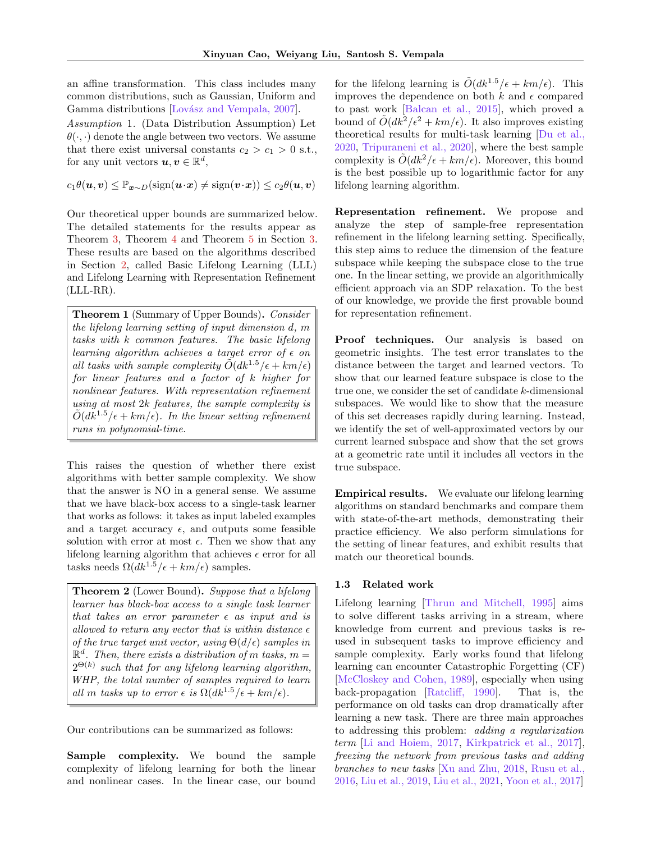<span id="page-2-2"></span>an affine transformation. This class includes many common distributions, such as Gaussian, Uniform and Gamma distributions [Lovász and Vempala, 2007].

<span id="page-2-0"></span>Assumption 1. (Data Distribution Assumption) Let  $\theta(\cdot, \cdot)$  denote the angle between two vectors. We assume that there exist universal constants  $c_2 > c_1 > 0$  s.t., for any unit vectors  $u, v \in \mathbb{R}^d$ ,

 $c_1\theta(\boldsymbol{u},\boldsymbol{v}) \leq \mathbb{P}_{\boldsymbol{x} \sim D}(\text{sign}(\boldsymbol{u}\cdot \boldsymbol{x}) \neq \text{sign}(\boldsymbol{v}\cdot \boldsymbol{x})) \leq c_2\theta(\boldsymbol{u},\boldsymbol{v})$ 

Our theoretical upper bounds are summarized below. The detailed statements for the results appear as Theorem [3,](#page-5-0) Theorem [4](#page-5-1) and Theorem [5](#page-5-2) in Section [3.](#page-5-3) These results are based on the algorithms described in Section [2,](#page-3-0) called Basic Lifelong Learning (LLL) and Lifelong Learning with Representation Refinement (LLL-RR).

Theorem 1 (Summary of Upper Bounds). Consider the lifelong learning setting of input dimension d, m tasks with k common features. The basic lifelong learning algorithm achieves a target error of  $\epsilon$  on all tasks with sample complexity  $\tilde{O}(dk^{1.5}/\epsilon + km/\epsilon)$ for linear features and a factor of k higher for nonlinear features. With representation refinement using at most 2k features, the sample complexity is  $\tilde{O}(dk^{1.5}/\epsilon + km/\epsilon)$ . In the linear setting refinement runs in polynomial-time.

This raises the question of whether there exist algorithms with better sample complexity. We show that the answer is NO in a general sense. We assume that we have black-box access to a single-task learner that works as follows: it takes as input labeled examples and a target accuracy  $\epsilon$ , and outputs some feasible solution with error at most  $\epsilon$ . Then we show that any lifelong learning algorithm that achieves  $\epsilon$  error for all tasks needs  $\Omega(dk^{1.5}/\epsilon + km/\epsilon)$  samples.

<span id="page-2-1"></span>Theorem 2 (Lower Bound). Suppose that a lifelong learner has black-box access to a single task learner that takes an error parameter  $\epsilon$  as input and is allowed to return any vector that is within distance  $\epsilon$ of the true target unit vector, using  $\Theta(d/\epsilon)$  samples in  $\mathbb{R}^d$ . Then, there exists a distribution of m tasks,  $m =$  $2^{\Theta(k)}$  such that for any lifelong learning algorithm, WHP, the total number of samples required to learn all m tasks up to error  $\epsilon$  is  $\Omega(dk^{1.5}/\epsilon + km/\epsilon)$ .

Our contributions can be summarized as follows:

Sample complexity. We bound the sample complexity of lifelong learning for both the linear and nonlinear cases. In the linear case, our bound for the lifelong learning is  $\tilde{O}(dk^{1.5}/\epsilon + km/\epsilon)$ . This improves the dependence on both  $k$  and  $\epsilon$  compared to past work [\[Balcan et al., 2015\]](#page-9-0), which proved a bound of  $\tilde{O}(dk^2/\epsilon^2 + km/\epsilon)$ . It also improves existing theoretical results for multi-task learning [\[Du et al.,](#page-9-1) [2020,](#page-9-1) [Tripuraneni et al., 2020\]](#page-10-2), where the best sample complexity is  $O(dk^2/\epsilon + km/\epsilon)$ . Moreover, this bound is the best possible up to logarithmic factor for any lifelong learning algorithm.

Representation refinement. We propose and analyze the step of sample-free representation refinement in the lifelong learning setting. Specifically, this step aims to reduce the dimension of the feature subspace while keeping the subspace close to the true one. In the linear setting, we provide an algorithmically efficient approach via an SDP relaxation. To the best of our knowledge, we provide the first provable bound for representation refinement.

Proof techniques. Our analysis is based on geometric insights. The test error translates to the distance between the target and learned vectors. To show that our learned feature subspace is close to the true one, we consider the set of candidate  $k$ -dimensional subspaces. We would like to show that the measure of this set decreases rapidly during learning. Instead, we identify the set of well-approximated vectors by our current learned subspace and show that the set grows at a geometric rate until it includes all vectors in the true subspace.

Empirical results. We evaluate our lifelong learning algorithms on standard benchmarks and compare them with state-of-the-art methods, demonstrating their practice efficiency. We also perform simulations for the setting of linear features, and exhibit results that match our theoretical bounds.

## 1.3 Related work

Lifelong learning [\[Thrun and Mitchell, 1995\]](#page-10-1) aims to solve different tasks arriving in a stream, where knowledge from current and previous tasks is reused in subsequent tasks to improve efficiency and sample complexity. Early works found that lifelong learning can encounter Catastrophic Forgetting (CF) [\[McCloskey and Cohen, 1989\]](#page-10-4), especially when using back-propagation [\[Ratcliff, 1990\]](#page-10-5). That is, the performance on old tasks can drop dramatically after learning a new task. There are three main approaches to addressing this problem: adding a regularization term [\[Li and Hoiem, 2017,](#page-10-6) [Kirkpatrick et al., 2017\]](#page-9-3), freezing the network from previous tasks and adding branches to new tasks [\[Xu and Zhu, 2018,](#page-10-7) [Rusu et al.,](#page-10-8) [2016,](#page-10-8) [Liu et al., 2019,](#page-10-9) [Liu et al., 2021,](#page-10-10) [Yoon et al., 2017\]](#page-10-11)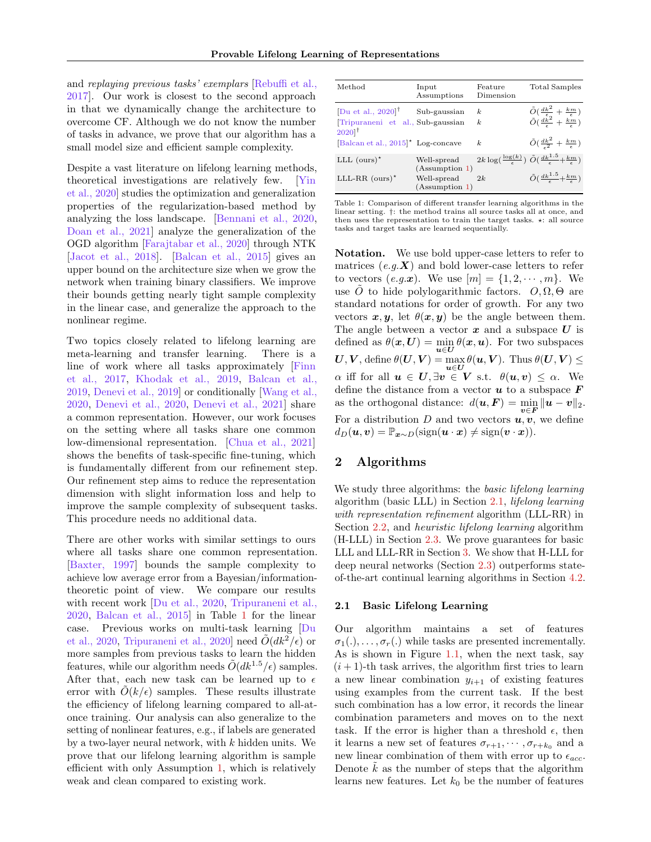<span id="page-3-3"></span>and replaying previous tasks' exemplars [\[Rebuffi et al.,](#page-10-12) [2017\]](#page-10-12). Our work is closest to the second approach in that we dynamically change the architecture to overcome CF. Although we do not know the number of tasks in advance, we prove that our algorithm has a small model size and efficient sample complexity.

Despite a vast literature on lifelong learning methods, theoretical investigations are relatively few. [\[Yin](#page-10-13) [et al., 2020\]](#page-10-13) studies the optimization and generalization properties of the regularization-based method by analyzing the loss landscape. [\[Bennani et al., 2020,](#page-9-4) [Doan et al., 2021\]](#page-9-5) analyze the generalization of the OGD algorithm [\[Farajtabar et al., 2020\]](#page-9-6) through NTK [\[Jacot et al., 2018\]](#page-9-7). [\[Balcan et al., 2015\]](#page-9-0) gives an upper bound on the architecture size when we grow the network when training binary classifiers. We improve their bounds getting nearly tight sample complexity in the linear case, and generalize the approach to the nonlinear regime.

Two topics closely related to lifelong learning are meta-learning and transfer learning. There is a line of work where all tasks approximately [\[Finn](#page-9-8) [et al., 2017,](#page-9-8) [Khodak et al., 2019,](#page-9-9) [Balcan et al.,](#page-9-10) [2019,](#page-9-10) [Denevi et al., 2019\]](#page-9-11) or conditionally [\[Wang et al.,](#page-10-14) [2020,](#page-10-14) [Denevi et al., 2020,](#page-9-12) [Denevi et al., 2021\]](#page-9-13) share a common representation. However, our work focuses on the setting where all tasks share one common low-dimensional representation. [\[Chua et al., 2021\]](#page-9-2) shows the benefits of task-specific fine-tuning, which is fundamentally different from our refinement step. Our refinement step aims to reduce the representation dimension with slight information loss and help to improve the sample complexity of subsequent tasks. This procedure needs no additional data.

There are other works with similar settings to ours where all tasks share one common representation. [\[Baxter, 1997\]](#page-9-14) bounds the sample complexity to achieve low average error from a Bayesian/informationtheoretic point of view. We compare our results with recent work [\[Du et al., 2020,](#page-9-1) [Tripuraneni et al.,](#page-10-2) [2020,](#page-10-2) [Balcan et al., 2015\]](#page-9-0) in Table [1](#page-3-1) for the linear case. Previous works on multi-task learning [\[Du](#page-9-1) [et al., 2020,](#page-9-1) [Tripuraneni et al., 2020\]](#page-10-2) need  $\ddot{O}(dk^2/\epsilon)$  or more samples from previous tasks to learn the hidden features, while our algorithm needs  $\tilde{O}(dk^{1.5}/\epsilon)$  samples. After that, each new task can be learned up to  $\epsilon$ error with  $O(k/\epsilon)$  samples. These results illustrate the efficiency of lifelong learning compared to all-atonce training. Our analysis can also generalize to the setting of nonlinear features, e.g., if labels are generated by a two-layer neural network, with  $k$  hidden units. We prove that our lifelong learning algorithm is sample efficient with only Assumption [1,](#page-2-0) which is relatively weak and clean compared to existing work.

<span id="page-3-1"></span>

| Method                                                                               | Input<br>Assumptions          | Feature<br>Dimension | <b>Total Samples</b>                                                                                                                       |
|--------------------------------------------------------------------------------------|-------------------------------|----------------------|--------------------------------------------------------------------------------------------------------------------------------------------|
| Du et al., $2020$ <sup>†</sup><br>Tripuraneni et al., Sub-gaussian                   | Sub-gaussian                  | k.<br>k.             | $\tilde{O}\left(\frac{dk^2}{\epsilon} + \frac{km}{\epsilon}\right)$<br>$\tilde{O}\left(\frac{dk^2}{\epsilon} + \frac{km}{\epsilon}\right)$ |
| $2020$ <sup>†</sup><br>$\left[\text{Balcan et al., }2015\right]^{\star}$ Log-concave |                               | k                    | $\tilde{O}(\frac{dk^2}{\epsilon^2}+\frac{km}{\epsilon})$                                                                                   |
| LLL $(ours)^*$                                                                       | Well-spread<br>(Assumption 1) |                      | $2k \log(\frac{\log(k)}{\log(k)}) \tilde{O}(\frac{dk^{1.5} + km}{\log(k)})$                                                                |
| LLL-RR $(ours)^*$                                                                    | Well-spread<br>(Assumption 1) | 2k                   | $\tilde{O}(\frac{dk^{1.5}}{k} + \frac{km}{k})$                                                                                             |

Table 1: Comparison of different transfer learning algorithms in the linear setting. †: the method trains all source tasks all at once, and then uses the representation to train the target tasks.  $\star$ : all source tasks and target tasks are learned sequentially.

Notation. We use bold upper-case letters to refer to matrices  $(e.g. X)$  and bold lower-case letters to refer to vectors  $(e.g.x)$ . We use  $[m] = \{1, 2, \dots, m\}$ . We use O to hide polylogarithmic factors.  $O, \Omega, \Theta$  are standard notations for order of growth. For any two vectors  $x, y$ , let  $\theta(x, y)$  be the angle between them. The angle between a vector  $x$  and a subspace  $U$  is defined as  $\theta(x,U) = \min_{u \in U} \theta(x,u)$ . For two subspaces  $U, V$ , define  $\theta(U, V) = \max_{\boldsymbol{u} \in U} \theta(\boldsymbol{u}, V)$ . Thus  $\theta(U, V) \leq$  $\alpha$  iff for all  $u \in U$ ,  $\exists v \in V$  s.t.  $\theta(u, v) \leq \alpha$ . We define the distance from a vector  $u$  to a subspace  $F$ as the orthogonal distance:  $d(\boldsymbol{u}, \boldsymbol{F}) = \min_{\boldsymbol{v} \in \boldsymbol{F}} \|\boldsymbol{u} - \boldsymbol{v}\|_2$ . For a distribution D and two vectors  $u, v$ , we define  $d_D(\mathbf{u}, \mathbf{v}) = \mathbb{P}_{\mathbf{x} \sim D}(\text{sign}(\mathbf{u} \cdot \mathbf{x}) \neq \text{sign}(\mathbf{v} \cdot \mathbf{x})).$ 

# <span id="page-3-0"></span>2 Algorithms

We study three algorithms: the *basic lifelong learning* algorithm (basic LLL) in Section [2.1,](#page-3-2) lifelong learning with representation refinement algorithm (LLL-RR) in Section [2.2,](#page-4-0) and heuristic lifelong learning algorithm (H-LLL) in Section [2.3.](#page-5-4) We prove guarantees for basic LLL and LLL-RR in Section [3.](#page-5-3) We show that H-LLL for deep neural networks (Section [2.3\)](#page-5-4) outperforms stateof-the-art continual learning algorithms in Section [4.2.](#page-8-0)

#### <span id="page-3-2"></span>2.1 Basic Lifelong Learning

Our algorithm maintains a set of features  $\sigma_1(.)$ , ...,  $\sigma_r(.)$  while tasks are presented incrementally. As is shown in Figure [1.1,](#page-1-0) when the next task, say  $(i + 1)$ -th task arrives, the algorithm first tries to learn a new linear combination  $y_{i+1}$  of existing features using examples from the current task. If the best such combination has a low error, it records the linear combination parameters and moves on to the next task. If the error is higher than a threshold  $\epsilon$ , then it learns a new set of features  $\sigma_{r+1}, \cdots, \sigma_{r+k_0}$  and a new linear combination of them with error up to  $\epsilon_{acc}$ . Denote  $k$  as the number of steps that the algorithm learns new features. Let  $k_0$  be the number of features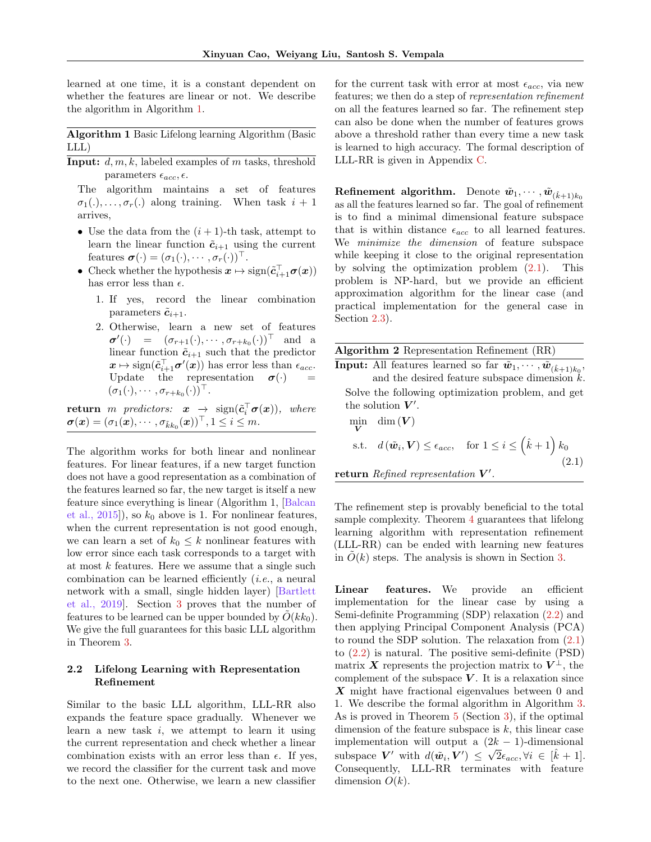<span id="page-4-3"></span>learned at one time, it is a constant dependent on whether the features are linear or not. We describe the algorithm in Algorithm [1.](#page-4-1)

<span id="page-4-1"></span>Algorithm 1 Basic Lifelong learning Algorithm (Basic LLL)

**Input:**  $d, m, k$ , labeled examples of m tasks, threshold parameters  $\epsilon_{acc}, \epsilon$ .

The algorithm maintains a set of features  $\sigma_1(.), \ldots, \sigma_r(.)$  along training. When task  $i + 1$ arrives,

- Use the data from the  $(i + 1)$ -th task, attempt to learn the linear function  $\tilde{c}_{i+1}$  using the current features  $\boldsymbol{\sigma}(\cdot) = (\sigma_1(\cdot), \cdots, \sigma_r(\cdot))^{\top}$ .
- Check whether the hypothesis  $x \mapsto \text{sign}(\tilde{c}_{i+1}^{\top} \sigma(x))$ has error less than  $\epsilon$ .
	- 1. If yes, record the linear combination parameters  $\tilde{c}_{i+1}$ .
	- 2. Otherwise, learn a new set of features  $\boldsymbol{\sigma}'(\cdot) = (\sigma_{r+1}(\cdot), \cdots, \sigma_{r+k_0}(\cdot))^{\top}$  and a linear function  $\tilde{c}_{i+1}$  such that the predictor  $x \mapsto \text{sign}(\tilde{c}_{i+1}^{\top} \sigma'(x))$  has error less than  $\epsilon_{acc}$ . Update the representation  $\sigma(\cdot)$  =  $(\sigma_1(\cdot),\cdots,\sigma_{r+k_0}(\cdot))^{\top}$ .

 $\textbf{return}\;\; m\;\; predictors: \;\; \bm{x}\;\; \rightarrow \;\; \text{sign}(\tilde{\bm{c}}_i^\top \bm{\sigma}(\bm{x})),\;\; where$  $\boldsymbol{\sigma}(\boldsymbol{x}) = (\sigma_1(\boldsymbol{x}), \cdots, \sigma_{\tilde{k}k_0}(\boldsymbol{x}))^{\top}, 1 \leq i \leq m.$ 

The algorithm works for both linear and nonlinear features. For linear features, if a new target function does not have a good representation as a combination of the features learned so far, the new target is itself a new feature since everything is linear (Algorithm 1, [\[Balcan](#page-9-0) et al.,  $2015$ , so  $k_0$  above is 1. For nonlinear features, when the current representation is not good enough, we can learn a set of  $k_0 \leq k$  nonlinear features with low error since each task corresponds to a target with at most  $k$  features. Here we assume that a single such combination can be learned efficiently (i.e., a neural network with a small, single hidden layer) [\[Bartlett](#page-9-15) [et al., 2019\]](#page-9-15). Section [3](#page-5-3) proves that the number of features to be learned can be upper bounded by  $O(kk_0)$ . We give the full guarantees for this basic LLL algorithm in Theorem [3.](#page-5-0)

### <span id="page-4-0"></span>2.2 Lifelong Learning with Representation Refinement

Similar to the basic LLL algorithm, LLL-RR also expands the feature space gradually. Whenever we learn a new task  $i$ , we attempt to learn it using the current representation and check whether a linear combination exists with an error less than  $\epsilon$ . If yes, we record the classifier for the current task and move to the next one. Otherwise, we learn a new classifier for the current task with error at most  $\epsilon_{acc}$ , via new features; we then do a step of representation refinement on all the features learned so far. The refinement step can also be done when the number of features grows above a threshold rather than every time a new task is learned to high accuracy. The formal description of LLL-RR is given in Appendix [C.](#page-19-1)

Refinement algorithm. Denote  $\tilde{w}_1, \cdots, \tilde{w}_{(\hat{k}+1)k_0}$ as all the features learned so far. The goal of refinement is to find a minimal dimensional feature subspace that is within distance  $\epsilon_{acc}$  to all learned features. We minimize the dimension of feature subspace while keeping it close to the original representation by solving the optimization problem [\(2.1\)](#page-4-2). This problem is NP-hard, but we provide an efficient approximation algorithm for the linear case (and practical implementation for the general case in Section [2.3\)](#page-5-4).

<span id="page-4-4"></span>

| <b>Algorithm 2</b> Representation Refinement (RR) |  |
|---------------------------------------------------|--|
|                                                   |  |

**Input:** All features learned so far  $\tilde{w}_1, \cdots, \tilde{w}_{(\hat{k}+1)k_0}$ , and the desired feature subspace dimension  $k$ . Solve the following optimization problem, and get the solution  $V'$ .

<span id="page-4-2"></span>
$$
\begin{aligned}\n\min_{\mathbf{V}} \quad & \dim(\mathbf{V}) \\
\text{s.t.} \quad & d(\tilde{\mathbf{w}}_i, \mathbf{V}) \le \epsilon_{acc}, \quad \text{for } 1 \le i \le \left(\hat{k} + 1\right) k_0 \\
& \text{return } \text{Refined representation } \mathbf{V}'.\n\end{aligned} \tag{2.1}
$$

The refinement step is provably beneficial to the total sample complexity. Theorem [4](#page-5-1) guarantees that lifelong learning algorithm with representation refinement (LLL-RR) can be ended with learning new features in  $O(k)$  steps. The analysis is shown in Section [3.](#page-5-3)

Linear features. We provide an efficient implementation for the linear case by using a Semi-definite Programming (SDP) relaxation [\(2.2\)](#page-5-5) and then applying Principal Component Analysis (PCA) to round the SDP solution. The relaxation from [\(2.1\)](#page-4-2) to [\(2.2\)](#page-5-5) is natural. The positive semi-definite (PSD) matrix X represents the projection matrix to  $V^{\perp}$ , the complement of the subspace  $V$ . It is a relaxation since X might have fractional eigenvalues between 0 and 1. We describe the formal algorithm in Algorithm [3.](#page-5-6) As is proved in Theorem [5](#page-5-2) (Section [3\)](#page-5-3), if the optimal dimension of the feature subspace is  $k$ , this linear case implementation will output a  $(2k-1)$ -dimensional subspace V' with  $d(\tilde{\boldsymbol{w}}_i, V') \leq \sqrt{2} \epsilon_{acc}, \forall i \in [\hat{k} + 1].$ Consequently, LLL-RR terminates with feature dimension  $O(k)$ .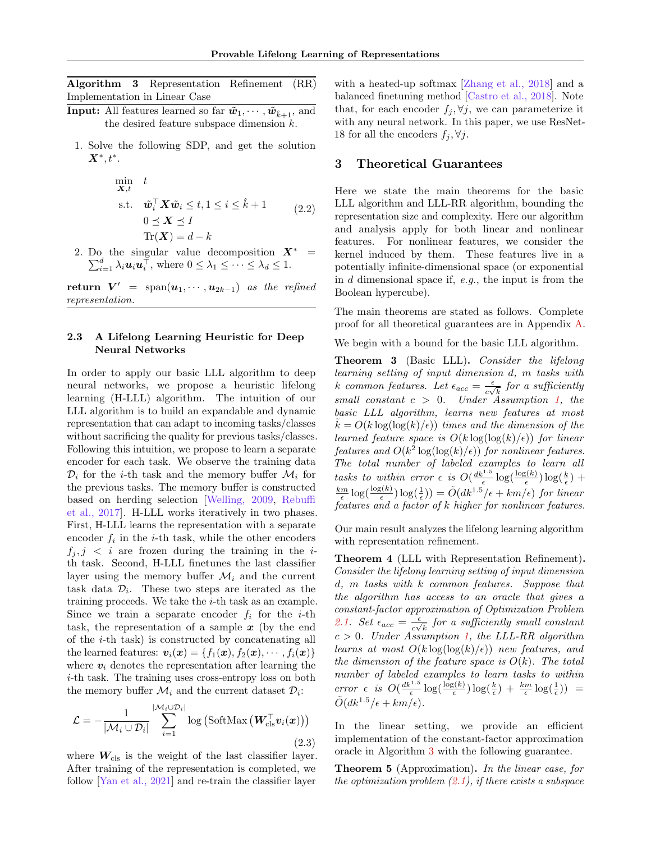<span id="page-5-7"></span><span id="page-5-6"></span>Algorithm 3 Representation Refinement (RR) Implementation in Linear Case

- **Input:** All features learned so far  $\tilde{w}_1, \dots, \tilde{w}_{k+1}$ , and the desired feature subspace dimension k.
	- 1. Solve the following SDP, and get the solution  $\mathbf{X}^*, t^*.$

<span id="page-5-5"></span>
$$
\min_{\mathbf{X},t} \quad t
$$
\n
$$
\text{s.t.} \quad \tilde{\boldsymbol{w}}_i^\top \mathbf{X} \tilde{\boldsymbol{w}}_i \le t, 1 \le i \le \hat{k} + 1 \qquad (2.2)
$$
\n
$$
0 \le \mathbf{X} \le I
$$
\n
$$
\text{Tr}(\mathbf{X}) = d - k
$$

2. Do the singular value decomposition P the singular value decomposition  $\mathbf{X}^* =$ <br> $\frac{d}{i=1} \lambda_i \mathbf{u}_i \mathbf{u}_i^\top$ , where  $0 \leq \lambda_1 \leq \cdots \leq \lambda_d \leq 1$ .

**return**  $V' = \text{span}(\boldsymbol{u}_1, \cdots, \boldsymbol{u}_{2k-1})$  as the refined representation.

## <span id="page-5-4"></span>2.3 A Lifelong Learning Heuristic for Deep Neural Networks

In order to apply our basic LLL algorithm to deep neural networks, we propose a heuristic lifelong learning (H-LLL) algorithm. The intuition of our LLL algorithm is to build an expandable and dynamic representation that can adapt to incoming tasks/classes without sacrificing the quality for previous tasks/classes. Following this intuition, we propose to learn a separate encoder for each task. We observe the training data  $\mathcal{D}_i$  for the *i*-th task and the memory buffer  $\mathcal{M}_i$  for the previous tasks. The memory buffer is constructed based on herding selection [\[Welling, 2009,](#page-10-15) [Rebuffi](#page-10-12) [et al., 2017\]](#page-10-12). H-LLL works iteratively in two phases. First, H-LLL learns the representation with a separate encoder  $f_i$  in the *i*-th task, while the other encoders  $f_i, j \leq i$  are frozen during the training in the *i*th task. Second, H-LLL finetunes the last classifier layer using the memory buffer  $\mathcal{M}_i$  and the current task data  $\mathcal{D}_i$ . These two steps are iterated as the training proceeds. We take the  $i$ -th task as an example. Since we train a separate encoder  $f_i$  for the *i*-th task, the representation of a sample  $x$  (by the end of the i-th task) is constructed by concatenating all the learned features:  $\mathbf{v}_i(\mathbf{x}) = \{f_1(\mathbf{x}), f_2(\mathbf{x}), \cdots, f_i(\mathbf{x})\}$ where  $v_i$  denotes the representation after learning the i-th task. The training uses cross-entropy loss on both the memory buffer  $\mathcal{M}_i$  and the current dataset  $\mathcal{D}_i$ :

$$
\mathcal{L} = -\frac{1}{|\mathcal{M}_i \cup \mathcal{D}_i|} \sum_{i=1}^{|\mathcal{M}_i \cup \mathcal{D}_i|} \log \left( \text{SoftMax} \left( \mathbf{W}_{\text{cls}}^{\top} \mathbf{v}_i(\mathbf{x}) \right) \right)
$$
(2.3)

where  $W_{\text{cls}}$  is the weight of the last classifier layer. After training of the representation is completed, we follow [\[Yan et al., 2021\]](#page-10-16) and re-train the classifier layer

with a heated-up softmax [\[Zhang et al., 2018\]](#page-10-17) and a balanced finetuning method [\[Castro et al., 2018\]](#page-9-16). Note that, for each encoder  $f_j, \forall j$ , we can parameterize it with any neural network. In this paper, we use ResNet-18 for all the encoders  $f_i, \forall j$ .

## <span id="page-5-3"></span>3 Theoretical Guarantees

Here we state the main theorems for the basic LLL algorithm and LLL-RR algorithm, bounding the representation size and complexity. Here our algorithm and analysis apply for both linear and nonlinear features. For nonlinear features, we consider the kernel induced by them. These features live in a potentially infinite-dimensional space (or exponential in  $d$  dimensional space if,  $e.g.,$  the input is from the Boolean hypercube).

The main theorems are stated as follows. Complete proof for all theoretical guarantees are in Appendix [A.](#page-11-0)

We begin with a bound for the basic LLL algorithm.

<span id="page-5-0"></span>Theorem 3 (Basic LLL). Consider the lifelong learning setting of input dimension d, m tasks with k common features. Let  $\epsilon_{acc} = \frac{\epsilon}{c}$  $\frac{\epsilon}{c\sqrt{k}}$  for a sufficiently small constant  $c > 0$ . Under Assumption [1,](#page-2-0) the basic LLL algorithm, learns new features at most  $k = O(k \log(\log(k)/\epsilon))$  times and the dimension of the learned feature space is  $O(k \log(\log(k)/\epsilon))$  for linear features and  $O(k^2 \log(\log(k)/\epsilon))$  for nonlinear features. The total number of labeled examples to learn all tasks to within error  $\epsilon$  is  $O(\frac{dk^{1.5}}{\epsilon} \log(\frac{\log(k)}{\epsilon}))$  $\frac{g(k)}{\epsilon}$ )  $\log(\frac{k}{\epsilon})$  +  $\frac{km}{\epsilon} \log(\frac{\log(k)}{\epsilon})$  $\frac{g(k)}{\epsilon}$ )  $\log(\frac{1}{\epsilon})$  =  $\tilde{O}(dk^{1.5}/\epsilon + km/\epsilon)$  for linear features and a factor of k higher for nonlinear features.

Our main result analyzes the lifelong learning algorithm with representation refinement.

<span id="page-5-1"></span>Theorem 4 (LLL with Representation Refinement). Consider the lifelong learning setting of input dimension d, m tasks with k common features. Suppose that the algorithm has access to an oracle that gives a constant-factor approximation of Optimization Problem [2.1.](#page-4-2) Set  $\epsilon_{acc} = \frac{\epsilon}{\omega}$  $\frac{\epsilon}{c\sqrt{k}}$  for a sufficiently small constant  $c > 0$ . Under Assumption [1,](#page-2-0) the LLL-RR algorithm learns at most  $O(k \log(\log(k)/\epsilon))$  new features, and the dimension of the feature space is  $O(k)$ . The total number of labeled examples to learn tasks to within error  $\epsilon$  is  $O\left(\frac{dk^{1.5}}{\epsilon} \log\left(\frac{\log(k)}{\epsilon}\right)\right)$  $\frac{\log(k)}{\epsilon}$ )  $\log(\frac{k}{\epsilon}) + \frac{km}{\epsilon} \log(\frac{1}{\epsilon})$ ) =  $\tilde{O}(dk^{1.5}/\epsilon + km/\epsilon).$ 

In the linear setting, we provide an efficient implementation of the constant-factor approximation oracle in Algorithm [3](#page-5-6) with the following guarantee.

<span id="page-5-2"></span>Theorem 5 (Approximation). In the linear case, for the optimization problem  $(2.1)$ , if there exists a subspace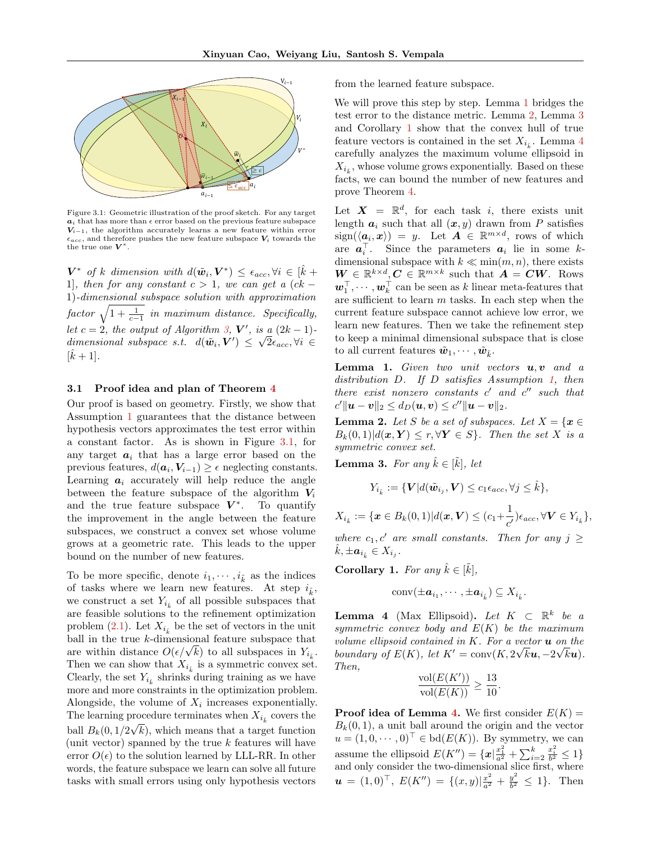<span id="page-6-0"></span>

Figure 3.1: Geometric illustration of the proof sketch. For any target  $a_i$  that has more than  $\epsilon$  error based on the previous feature subspace  $V_{i-1}$ , the algorithm accurately learns a new feature within error  $\epsilon_{acc}$ , and therefore pushes the new feature subspace  $V_i$  towards the the true one  $V^*$ .

 $\mathbf{V}^*$  of k dimension with  $d(\tilde{\boldsymbol{w}}_i, \boldsymbol{V}^*) \leq \epsilon_{acc}, \forall i \in [\hat{k} + \hat{k}]$ 1], then for any constant  $c > 1$ , we can get a  $(ck -$ 1)-dimensional subspace solution with approximation  $factor \sqrt{1 + \frac{1}{c-1}}$  in maximum distance. Specifically, let  $c = 2$ , the output of Algorithm [3,](#page-5-6)  $V'$ , is a  $(2k - 1)$ dimensional subspace s.t.  $d(\tilde{\boldsymbol{w}}_i, \boldsymbol{V}') \leq \sqrt{2} \epsilon_{acc}, \forall i \in$  $[\hat{k} + 1]$ .

#### 3.1 Proof idea and plan of Theorem [4](#page-5-1)

Our proof is based on geometry. Firstly, we show that Assumption [1](#page-2-0) guarantees that the distance between hypothesis vectors approximates the test error within a constant factor. As is shown in Figure [3.1,](#page-6-0) for any target  $a_i$  that has a large error based on the previous features,  $d(\boldsymbol{a}_i, \boldsymbol{V}_{i-1}) \geq \epsilon$  neglecting constants. Learning  $a_i$  accurately will help reduce the angle between the feature subspace of the algorithm  $V_i$ and the true feature subspace  $V^*$ . To quantify the improvement in the angle between the feature subspaces, we construct a convex set whose volume grows at a geometric rate. This leads to the upper bound on the number of new features.

To be more specific, denote  $i_1, \dots, i_{\tilde{k}}$  as the indices of tasks where we learn new features. At step  $i_{\hat{k}}$ , we construct a set  $Y_{i_k^*}$  of all possible subspaces that are feasible solutions to the refinement optimization problem [\(2.1\)](#page-4-2). Let  $X_{i_k}$  be the set of vectors in the unit ball in the true k-dimensional feature subspace that ball in the true *k*-dimensional feature subspace that are within distance  $O(\epsilon/\sqrt{k})$  to all subspaces in  $Y_{i_k}$ . Then we can show that  $X_{i_k}$  is a symmetric convex set. Clearly, the set  $Y_{i_k}$  shrinks during training as we have more and more constraints in the optimization problem. Alongside, the volume of  $X_i$  increases exponentially. The learning procedure terminates when  $X_{i_k}$  covers the ball  $B_k(0, 1/2\sqrt{k})$ , which means that a target function (unit vector) spanned by the true  $k$  features will have error  $O(\epsilon)$  to the solution learned by LLL-RR. In other words, the feature subspace we learn can solve all future tasks with small errors using only hypothesis vectors

from the learned feature subspace.

We will prove this step by step. Lemma [1](#page-6-1) bridges the test error to the distance metric. Lemma [2,](#page-6-2) Lemma [3](#page-6-3) and Corollary [1](#page-6-4) show that the convex hull of true feature vectors is contained in the set  $X_{i_{\hat{k}}}$ . Lemma [4](#page-6-5) carefully analyzes the maximum volume ellipsoid in  $X_{i_{\hat{k}}}$  , whose volume grows exponentially. Based on these facts, we can bound the number of new features and prove Theorem [4.](#page-5-1)

Let  $X = \mathbb{R}^d$ , for each task i, there exists unit length  $a_i$  such that all  $(x, y)$  drawn from P satisfies  $sign(\langle \boldsymbol{a}_i, \boldsymbol{x} \rangle) = y.$  Let  $\boldsymbol{A} \in \mathbb{R}^{m \times d}$ , rows of which are  $a_i^{\top}$ . Since the parameters  $a_i$  lie in some kdimensional subspace with  $k \ll \min(m, n)$ , there exists  $\mathbf{W} \in \mathbb{R}^{k \times d}, \mathbf{C} \in \mathbb{R}^{m \times k}$  such that  $\mathbf{A} = \mathbf{C}\mathbf{W}$ . Rows  $\boldsymbol{w}_1^\top, \cdots, \boldsymbol{w}_k^\top$  can be seen as  $k$  linear meta-features that are sufficient to learn  $m$  tasks. In each step when the current feature subspace cannot achieve low error, we learn new features. Then we take the refinement step to keep a minimal dimensional subspace that is close to all current features  $\tilde{w}_1, \cdots, \tilde{w}_k$ .

<span id="page-6-1"></span>**Lemma 1.** Given two unit vectors  $u, v$  and a distribution D. If D satisfies Assumption [1,](#page-2-0) then there exist nonzero constants  $c'$  and  $c''$  such that  $c' \| \bm{u} - \bm{v} \|_2 \leq d_D(\bm{u}, \bm{v}) \leq c'' \| \bm{u} - \bm{v} \|_2.$ 

<span id="page-6-2"></span>**Lemma 2.** Let S be a set of subspaces. Let  $X = \{x \in$  $B_k(0,1)|d(\boldsymbol{x},\boldsymbol{Y}) \leq r, \forall \boldsymbol{Y} \in S$ . Then the set X is a symmetric convex set.

<span id="page-6-3"></span>**Lemma 3.** For any  $\hat{k} \in [\tilde{k}], \text{ let }$ 

$$
Y_{i_{\hat{k}}} := \{ \mathbf{V} | d(\tilde{\mathbf{w}}_{i_j}, \mathbf{V}) \le c_1 \epsilon_{acc}, \forall j \le \hat{k} \},\
$$

$$
X_{i_k} := \{ \boldsymbol{x} \in B_k(0,1) | d(\boldsymbol{x}, \boldsymbol{V}) \leq (c_1 + \frac{1}{c'}) \epsilon_{acc}, \forall \boldsymbol{V} \in Y_{i_k} \},
$$

where  $c_1, c'$  are small constants. Then for any  $j \geq$  $\hat{k}, \pm \bm{a}_{i_{\hat{k}}}\in X_{i_j}$ .

<span id="page-6-4"></span>**Corollary 1.** For any  $\hat{k} \in [\tilde{k}],$ 

$$
\operatorname{conv}(\pm a_{i_1},\cdots,\pm a_{i_{\hat{k}}})\subseteq X_{i_{\hat{k}}}.
$$

<span id="page-6-5"></span>**Lemma 4** (Max Ellipsoid). Let  $K \subset \mathbb{R}^k$  be a symmetric convex body and  $E(K)$  be the maximum volume ellipsoid contained in K. For a vector  $\boldsymbol{u}$  on the boundary of  $E(K)$ , let  $K' = \text{conv}(K, 2\sqrt{k}\mathbf{u}, -2\sqrt{k}\mathbf{u}).$ Then,

$$
\frac{\text{vol}(E(K'))}{\text{vol}(E(K))} \ge \frac{13}{10}.
$$

**Proof idea of Lemma [4.](#page-6-5)** We first consider  $E(K)$  =  $B_k(0,1)$ , a unit ball around the origin and the vector  $u=(1,0,\cdots,0)^\top\in \mathrm{bd}(E(K)).$  By symmetry, we can assume the ellipsoid  $E(K'') = \{x | \frac{x_1^2}{a^2} + \sum_{i=2}^k$  $\frac{x_i^2}{b^2} \leq 1$ and only consider the two-dimensional slice first, where  $\bm{u} \,=\, (1,0)^{\top},\; E(K^{\prime\prime}) \,=\, \{(x,y)|\frac{x^2}{a^2} \,+\, \frac{y^2}{b^2}$  $\frac{y^2}{b^2} \leq 1$ . Then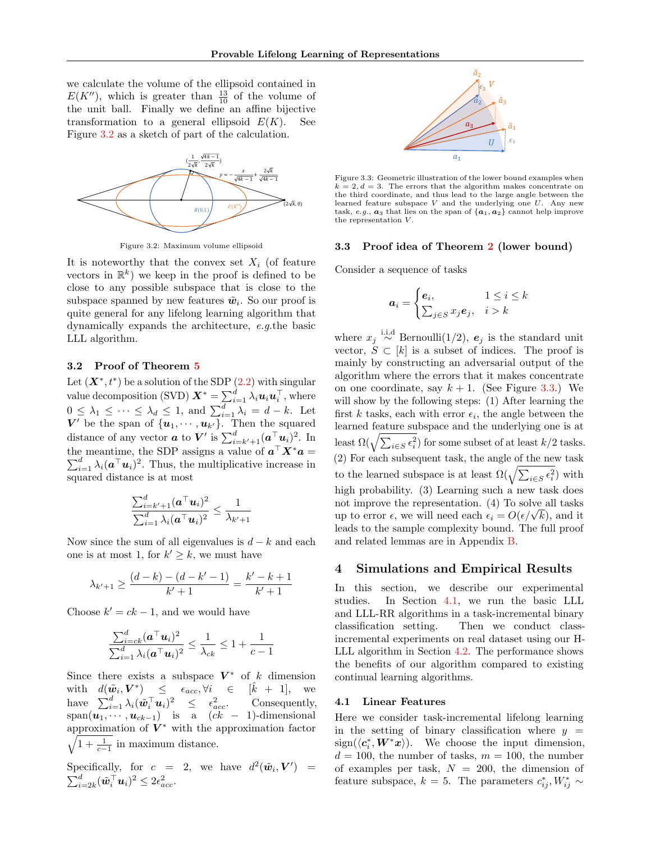we calculate the volume of the ellipsoid contained in  $E(K'')$ , which is greater than  $\frac{13}{10}$  of the volume of the unit ball. Finally we define an affine bijective transformation to a general ellipsoid  $E(K)$ . See Figure [3.2](#page-7-0) as a sketch of part of the calculation.

<span id="page-7-0"></span>

Figure 3.2: Maximum volume ellipsoid

It is noteworthy that the convex set  $X_i$  (of feature vectors in  $\mathbb{R}^k$ ) we keep in the proof is defined to be close to any possible subspace that is close to the subspace spanned by new features  $\tilde{w}_i$ . So our proof is quite general for any lifelong learning algorithm that dynamically expands the architecture, e.g.the basic LLL algorithm.

#### 3.2 Proof of Theorem [5](#page-5-2)

Let  $(X^*, t^*)$  be a solution of the SDP  $(2.2)$  with singular value decomposition (SVD)  $\bm{X}^* = \sum_{i=1}^d \lambda_i \bm{u}_i \bm{u}_i^{\top}$ , where  $0 \leq \lambda_1 \leq \cdots \leq \lambda_d \leq 1$ , and  $\sum_{i=1}^d \lambda_i = d - k$ . Let  $V'$  be the span of  $\{u_1, \dots, u_{k'}\}$ . Then the squared distance of any vector  $\boldsymbol{a}$  to  $\boldsymbol{V}'$  is  $\sum_{i=k'+1}^{d}(\boldsymbol{a}^{\top}\boldsymbol{u}_{i})^{2}$ . In the meantime, the SDP assigns a value of  $a^{\top} X^* a =$  $\sum_{i=1}^{d} \lambda_i (\boldsymbol{a}^\top \boldsymbol{u}_i)^2$ . Thus, the multiplicative increase in squared distance is at most

$$
\frac{\sum_{i=k'+1}^{d} (\boldsymbol{a}^\top \boldsymbol{u}_i)^2}{\sum_{i=1}^{d} \lambda_i (\boldsymbol{a}^\top \boldsymbol{u}_i)^2} \leq \frac{1}{\lambda_{k'+1}}
$$

Now since the sum of all eigenvalues is  $d - k$  and each one is at most 1, for  $k' \geq k$ , we must have

$$
\lambda_{k'+1} \geq \frac{(d-k)-(d-k'-1)}{k'+1} = \frac{k'-k+1}{k'+1}
$$

Choose  $k' = ck - 1$ , and we would have

$$
\frac{\sum_{i=ck}^{d} (\boldsymbol{a}^{\top} \boldsymbol{u}_i)^2}{\sum_{i=1}^{d} \lambda_i (\boldsymbol{a}^{\top} \boldsymbol{u}_i)^2} \le \frac{1}{\lambda_{ck}} \le 1 + \frac{1}{c-1}
$$

Since there exists a subspace  $V^*$  of k dimension with  $d(\tilde{\boldsymbol{w}}_i, \boldsymbol{V}^*) \leq \epsilon_{acc}, \forall i \in [$  $[k + 1]$ , we have  $\sum_{i=1}^d \lambda_i(\tilde{\boldsymbol{w}}_i^\top \boldsymbol{u}_i)^2 \leq \epsilon_a^2$ Consequently, span $(\boldsymbol{u}_1, \dots, \boldsymbol{u}_{ck-1})$  is a  $(ck - 1)$ -dimensional approximation of  $V^*$  with the approximation factor  $\sqrt{1 + \frac{1}{c-1}}$  in maximum distance.

Specifically, for  $c = 2$ , we have  $d^2(\tilde{\boldsymbol{w}}_i, \boldsymbol{V}') =$  $\sum_{i=2k}^d (\tilde{\boldsymbol{w}}_i^\top \boldsymbol{u}_i)^2 \leq 2 \epsilon_{acc}^2.$ 

<span id="page-7-1"></span>

Figure 3.3: Geometric illustration of the lower bound examples when  $k = 2, d = 3$ . The errors that the algorithm makes concentrate on the third coordinate, and thus lead to the large angle between the learned feature subspace  $V$  and the underlying one  $U$ . Any new task, e.g.,  $a_3$  that lies on the span of  $\{a_1, a_2\}$  cannot help improve the representation V .

#### 3.3 Proof idea of Theorem [2](#page-2-1) (lower bound)

Consider a sequence of tasks

$$
a_i = \begin{cases} e_i, & 1 \le i \le k \\ \sum_{j \in S} x_j e_j, & i > k \end{cases}
$$

where  $x_j \stackrel{\text{i.i.d}}{\sim} \text{Bernoulli}(1/2)$ ,  $e_j$  is the standard unit vector,  $S \subset [k]$  is a subset of indices. The proof is mainly by constructing an adversarial output of the algorithm where the errors that it makes concentrate on one coordinate, say  $k + 1$ . (See Figure [3.3.](#page-7-1)) We will show by the following steps: (1) After learning the first k tasks, each with error  $\epsilon_i$ , the angle between the learned feature subspace and the underlying one is at least  $\Omega(\sqrt{\sum_{i\in S}\epsilon_i^2})$  for some subset of at least  $k/2$  tasks. (2) For each subsequent task, the angle of the new task to the learned subspace is at least  $\Omega(\sqrt{\sum_{i\in S}\epsilon_i^2})$  with high probability. (3) Learning such a new task does not improve the representation. (4) To solve all tasks not improve the representation. (4) to solve all tasks<br>up to error  $\epsilon$ , we will need each  $\epsilon_i = O(\epsilon/\sqrt{k})$ , and it leads to the sample complexity bound. The full proof and related lemmas are in Appendix [B.](#page-15-0)

#### 4 Simulations and Empirical Results

In this section, we describe our experimental studies. In Section [4.1,](#page-7-2) we run the basic LLL and LLL-RR algorithms in a task-incremental binary classification setting. Then we conduct classincremental experiments on real dataset using our H-LLL algorithm in Section [4.2.](#page-8-0) The performance shows the benefits of our algorithm compared to existing continual learning algorithms.

#### <span id="page-7-2"></span>4.1 Linear Features

Here we consider task-incremental lifelong learning in the setting of binary classification where  $y =$  $sign(\langle c_i^*, W^*x \rangle)$ . We choose the input dimension,  $d = 100$ , the number of tasks,  $m = 100$ , the number of examples per task,  $N = 200$ , the dimension of feature subspace,  $k = 5$ . The parameters  $c_{ij}^*, W_{ij}^* \sim$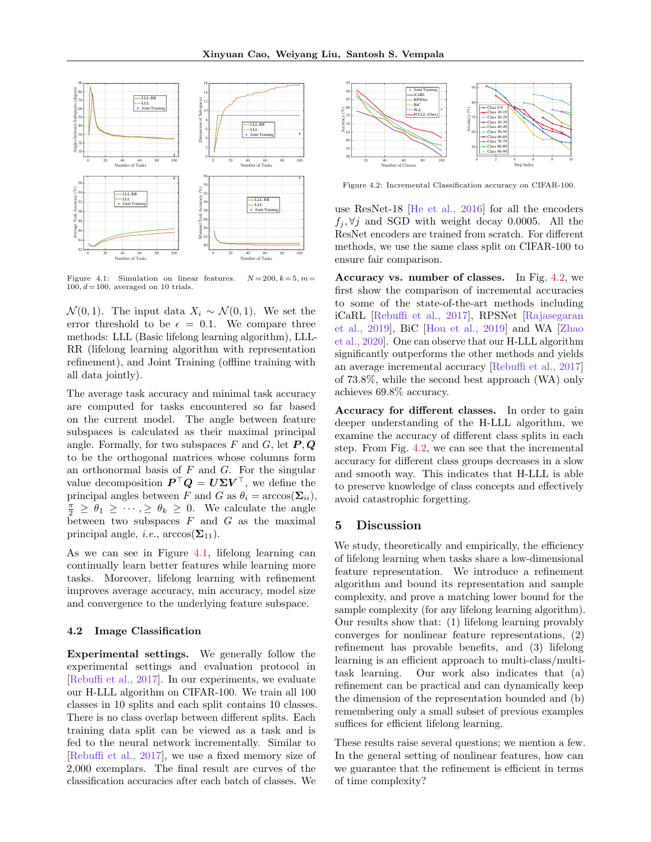<span id="page-8-3"></span><span id="page-8-1"></span>

Figure 4.1: Simulation on linear features.  $N = 200, k = 5, m =$  $100, d= 100$ , averaged on 10 trials.

 $\mathcal{N}(0,1)$ . The input data  $X_i \sim \mathcal{N}(0,1)$ . We set the error threshold to be  $\epsilon = 0.1$ . We compare three methods: LLL (Basic lifelong learning algorithm), LLL-RR (lifelong learning algorithm with representation refinement), and Joint Training (offline training with all data jointly).

The average task accuracy and minimal task accuracy are computed for tasks encountered so far based on the current model. The angle between feature subspaces is calculated as their maximal principal angle. Formally, for two subspaces F and G, let  $P, Q$ to be the orthogonal matrices whose columns form an orthonormal basis of  $F$  and  $G$ . For the singular value decomposition  $P^{\top}Q = U\Sigma V^{\top}$ , we define the principal angles between F and G as  $\theta_i = \arccos(\Sigma_{ii}),$  $\frac{\pi}{2} \geq \theta_1 \geq \cdots, \geq \theta_k \geq 0$ . We calculate the angle between two subspaces  $F$  and  $G$  as the maximal principal angle, *i.e.*,  $arccos(\Sigma_{11})$ .

As we can see in Figure [4.1,](#page-8-1) lifelong learning can continually learn better features while learning more tasks. Moreover, lifelong learning with refinement improves average accuracy, min accuracy, model size and convergence to the underlying feature subspace.

#### <span id="page-8-0"></span>4.2 Image Classification

Experimental settings. We generally follow the experimental settings and evaluation protocol in [\[Rebuffi et al., 2017\]](#page-10-12). In our experiments, we evaluate our H-LLL algorithm on CIFAR-100. We train all 100 classes in 10 splits and each split contains 10 classes. There is no class overlap between different splits. Each training data split can be viewed as a task and is fed to the neural network incrementally. Similar to [\[Rebuffi et al., 2017\]](#page-10-12), we use a fixed memory size of 2,000 exemplars. The final result are curves of the classification accuracies after each batch of classes. We

<span id="page-8-2"></span>

Figure 4.2: Incremental Classification accuracy on CIFAR-100.

use ResNet-18 [\[He et al., 2016\]](#page-9-17) for all the encoders  $f_i, \forall j$  and SGD with weight decay 0.0005. All the ResNet encoders are trained from scratch. For different methods, we use the same class split on CIFAR-100 to ensure fair comparison.

Accuracy vs. number of classes. In Fig. [4.2,](#page-8-2) we first show the comparison of incremental accuracies to some of the state-of-the-art methods including iCaRL [\[Rebuffi et al., 2017\]](#page-10-12), RPSNet [\[Rajasegaran](#page-10-18) [et al., 2019\]](#page-10-18), BiC [\[Hou et al., 2019\]](#page-9-18) and WA [\[Zhao](#page-10-19) [et al., 2020\]](#page-10-19). One can observe that our H-LLL algorithm significantly outperforms the other methods and yields an average incremental accuracy [\[Rebuffi et al., 2017\]](#page-10-12) of 73.8%, while the second best approach (WA) only achieves 69.8% accuracy.

Accuracy for different classes. In order to gain deeper understanding of the H-LLL algorithm, we examine the accuracy of different class splits in each step. From Fig. [4.2,](#page-8-2) we can see that the incremental accuracy for different class groups decreases in a slow and smooth way. This indicates that H-LLL is able to preserve knowledge of class concepts and effectively avoid catastrophic forgetting.

# 5 Discussion

We study, theoretically and empirically, the efficiency of lifelong learning when tasks share a low-dimensional feature representation. We introduce a refinement algorithm and bound its representation and sample complexity, and prove a matching lower bound for the sample complexity (for any lifelong learning algorithm). Our results show that: (1) lifelong learning provably converges for nonlinear feature representations, (2) refinement has provable benefits, and (3) lifelong learning is an efficient approach to multi-class/multitask learning. Our work also indicates that (a) refinement can be practical and can dynamically keep the dimension of the representation bounded and (b) remembering only a small subset of previous examples suffices for efficient lifelong learning.

These results raise several questions; we mention a few. In the general setting of nonlinear features, how can we guarantee that the refinement is efficient in terms of time complexity?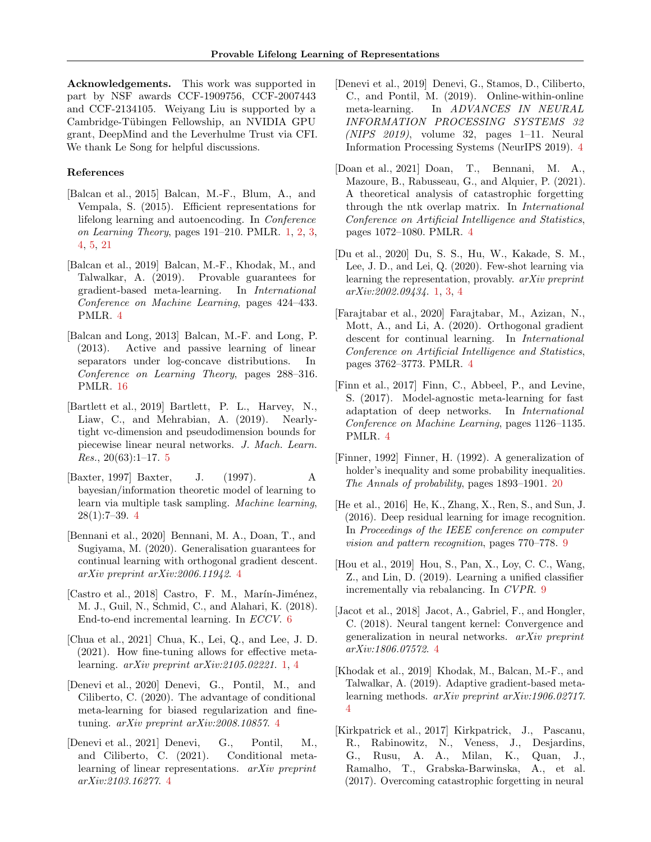Acknowledgements. This work was supported in part by NSF awards CCF-1909756, CCF-2007443 and CCF-2134105. Weiyang Liu is supported by a Cambridge-Tübingen Fellowship, an NVIDIA GPU grant, DeepMind and the Leverhulme Trust via CFI. We thank Le Song for helpful discussions.

#### References

- <span id="page-9-0"></span>[Balcan et al., 2015] Balcan, M.-F., Blum, A., and Vempala, S. (2015). Efficient representations for lifelong learning and autoencoding. In Conference on Learning Theory, pages 191–210. PMLR. [1,](#page-0-0) [2,](#page-1-1) [3,](#page-2-2) [4,](#page-3-3) [5,](#page-4-3) [21](#page-20-0)
- <span id="page-9-10"></span>[Balcan et al., 2019] Balcan, M.-F., Khodak, M., and Talwalkar, A. (2019). Provable guarantees for gradient-based meta-learning. In International Conference on Machine Learning, pages 424–433. PMLR. [4](#page-3-3)
- <span id="page-9-19"></span>[Balcan and Long, 2013] Balcan, M.-F. and Long, P. (2013). Active and passive learning of linear separators under log-concave distributions. In Conference on Learning Theory, pages 288–316. PMLR. [16](#page-15-1)
- <span id="page-9-15"></span>[Bartlett et al., 2019] Bartlett, P. L., Harvey, N., Liaw, C., and Mehrabian, A. (2019). Nearlytight vc-dimension and pseudodimension bounds for piecewise linear neural networks. J. Mach. Learn. Res.,  $20(63):1-17.5$  $20(63):1-17.5$
- <span id="page-9-14"></span>[Baxter, 1997] Baxter, J. (1997). A bayesian/information theoretic model of learning to learn via multiple task sampling. Machine learning, 28(1):7–39. [4](#page-3-3)
- <span id="page-9-4"></span>[Bennani et al., 2020] Bennani, M. A., Doan, T., and Sugiyama, M. (2020). Generalisation guarantees for continual learning with orthogonal gradient descent. arXiv preprint arXiv:2006.11942. [4](#page-3-3)
- <span id="page-9-16"></span>[Castro et al., 2018] Castro, F. M., Marín-Jiménez, M. J., Guil, N., Schmid, C., and Alahari, K. (2018). End-to-end incremental learning. In ECCV. [6](#page-5-7)
- <span id="page-9-2"></span>[Chua et al., 2021] Chua, K., Lei, Q., and Lee, J. D. (2021). How fine-tuning allows for effective metalearning. arXiv preprint arXiv:2105.02221. [1,](#page-0-0) [4](#page-3-3)
- <span id="page-9-12"></span>[Denevi et al., 2020] Denevi, G., Pontil, M., and Ciliberto, C. (2020). The advantage of conditional meta-learning for biased regularization and finetuning. arXiv preprint arXiv:2008.10857. [4](#page-3-3)
- <span id="page-9-13"></span>[Denevi et al., 2021] Denevi, G., Pontil, M., and Ciliberto, C. (2021). Conditional metalearning of linear representations. arXiv preprint arXiv:2103.16277. [4](#page-3-3)
- <span id="page-9-11"></span>[Denevi et al., 2019] Denevi, G., Stamos, D., Ciliberto, C., and Pontil, M. (2019). Online-within-online meta-learning. In ADVANCES IN NEURAL INFORMATION PROCESSING SYSTEMS 32  $(NIPS 2019)$ , volume 32, pages 1–11. Neural Information Processing Systems (NeurIPS 2019). [4](#page-3-3)
- <span id="page-9-5"></span>[Doan et al., 2021] Doan, T., Bennani, M. A., Mazoure, B., Rabusseau, G., and Alquier, P. (2021). A theoretical analysis of catastrophic forgetting through the ntk overlap matrix. In International Conference on Artificial Intelligence and Statistics, pages 1072–1080. PMLR. [4](#page-3-3)
- <span id="page-9-1"></span>[Du et al., 2020] Du, S. S., Hu, W., Kakade, S. M., Lee, J. D., and Lei, Q. (2020). Few-shot learning via learning the representation, provably. arXiv preprint arXiv:2002.09434. [1,](#page-0-0) [3,](#page-2-2) [4](#page-3-3)
- <span id="page-9-6"></span>[Farajtabar et al., 2020] Farajtabar, M., Azizan, N., Mott, A., and Li, A. (2020). Orthogonal gradient descent for continual learning. In International Conference on Artificial Intelligence and Statistics, pages 3762–3773. PMLR. [4](#page-3-3)
- <span id="page-9-8"></span>[Finn et al., 2017] Finn, C., Abbeel, P., and Levine, S. (2017). Model-agnostic meta-learning for fast adaptation of deep networks. In International Conference on Machine Learning, pages 1126–1135. PMLR. [4](#page-3-3)
- <span id="page-9-20"></span>[Finner, 1992] Finner, H. (1992). A generalization of holder's inequality and some probability inequalities. The Annals of probability, pages 1893–1901. [20](#page-19-2)
- <span id="page-9-17"></span>[He et al., 2016] He, K., Zhang, X., Ren, S., and Sun, J. (2016). Deep residual learning for image recognition. In Proceedings of the IEEE conference on computer vision and pattern recognition, pages 770–778. [9](#page-8-3)
- <span id="page-9-18"></span>[Hou et al., 2019] Hou, S., Pan, X., Loy, C. C., Wang, Z., and Lin, D. (2019). Learning a unified classifier incrementally via rebalancing. In CVPR. [9](#page-8-3)
- <span id="page-9-7"></span>[Jacot et al., 2018] Jacot, A., Gabriel, F., and Hongler, C. (2018). Neural tangent kernel: Convergence and generalization in neural networks. arXiv preprint arXiv:1806.07572. [4](#page-3-3)
- <span id="page-9-9"></span>[Khodak et al., 2019] Khodak, M., Balcan, M.-F., and Talwalkar, A. (2019). Adaptive gradient-based metalearning methods. arXiv preprint arXiv:1906.02717. [4](#page-3-3)
- <span id="page-9-3"></span>[Kirkpatrick et al., 2017] Kirkpatrick, J., Pascanu, R., Rabinowitz, N., Veness, J., Desjardins, G., Rusu, A. A., Milan, K., Quan, J., Ramalho, T., Grabska-Barwinska, A., et al. (2017). Overcoming catastrophic forgetting in neural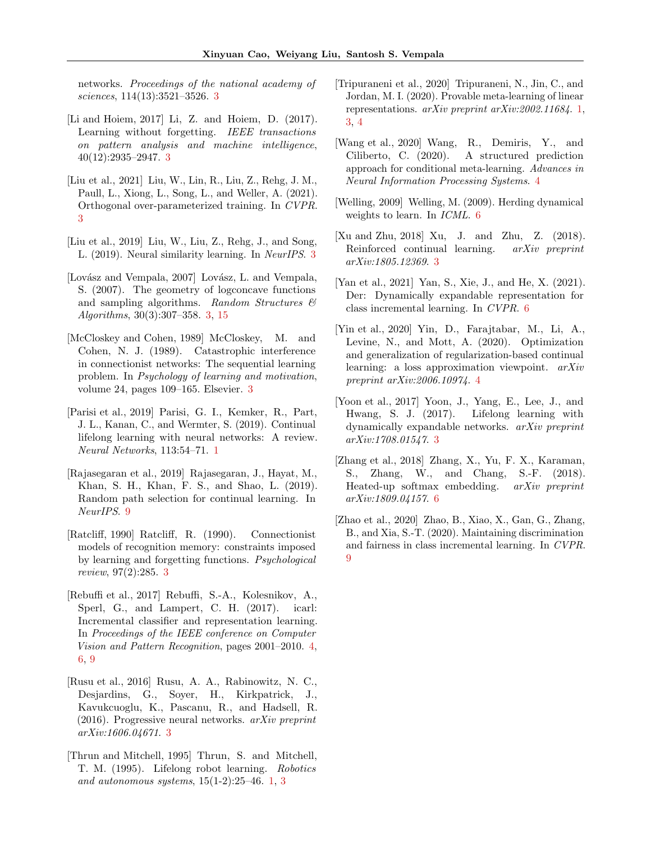networks. Proceedings of the national academy of sciences, 114(13):3521–3526. [3](#page-2-2)

- <span id="page-10-6"></span>[Li and Hoiem, 2017] Li, Z. and Hoiem, D. (2017). Learning without forgetting. IEEE transactions on pattern analysis and machine intelligence, 40(12):2935–2947. [3](#page-2-2)
- <span id="page-10-10"></span>[Liu et al., 2021] Liu, W., Lin, R., Liu, Z., Rehg, J. M., Paull, L., Xiong, L., Song, L., and Weller, A. (2021). Orthogonal over-parameterized training. In CVPR. [3](#page-2-2)
- <span id="page-10-9"></span>[Liu et al., 2019] Liu, W., Liu, Z., Rehg, J., and Song, L. (2019). Neural similarity learning. In NeurIPS. [3](#page-2-2)
- <span id="page-10-3"></span>[Lovász and Vempala, 2007] Lovász, L. and Vempala, S. (2007). The geometry of logconcave functions and sampling algorithms. Random Structures  $\mathcal{C}$ Algorithms, 30(3):307–358. [3,](#page-2-2) [15](#page-14-0)
- <span id="page-10-4"></span>[McCloskey and Cohen, 1989] McCloskey, M. and Cohen, N. J. (1989). Catastrophic interference in connectionist networks: The sequential learning problem. In Psychology of learning and motivation, volume 24, pages 109–165. Elsevier. [3](#page-2-2)
- <span id="page-10-0"></span>[Parisi et al., 2019] Parisi, G. I., Kemker, R., Part, J. L., Kanan, C., and Wermter, S. (2019). Continual lifelong learning with neural networks: A review. Neural Networks, 113:54–71. [1](#page-0-0)
- <span id="page-10-18"></span>[Rajasegaran et al., 2019] Rajasegaran, J., Hayat, M., Khan, S. H., Khan, F. S., and Shao, L. (2019). Random path selection for continual learning. In NeurIPS. [9](#page-8-3)
- <span id="page-10-5"></span>[Ratcliff, 1990] Ratcliff, R. (1990). Connectionist models of recognition memory: constraints imposed by learning and forgetting functions. Psychological review, 97(2):285. [3](#page-2-2)
- <span id="page-10-12"></span>[Rebuffi et al., 2017] Rebuffi, S.-A., Kolesnikov, A., Sperl, G., and Lampert, C. H. (2017). icarl: Incremental classifier and representation learning. In Proceedings of the IEEE conference on Computer Vision and Pattern Recognition, pages 2001–2010. [4,](#page-3-3) [6,](#page-5-7) [9](#page-8-3)
- <span id="page-10-8"></span>[Rusu et al., 2016] Rusu, A. A., Rabinowitz, N. C., Desjardins, G., Soyer, H., Kirkpatrick, J., Kavukcuoglu, K., Pascanu, R., and Hadsell, R.  $(2016)$ . Progressive neural networks.  $arXiv$  preprint arXiv:1606.04671. [3](#page-2-2)
- <span id="page-10-1"></span>[Thrun and Mitchell, 1995] Thrun, S. and Mitchell, T. M. (1995). Lifelong robot learning. Robotics and autonomous systems, 15(1-2):25–46. [1,](#page-0-0) [3](#page-2-2)
- <span id="page-10-2"></span>[Tripuraneni et al., 2020] Tripuraneni, N., Jin, C., and Jordan, M. I. (2020). Provable meta-learning of linear representations. arXiv preprint arXiv:2002.11684. [1,](#page-0-0) [3,](#page-2-2) [4](#page-3-3)
- <span id="page-10-14"></span>[Wang et al., 2020] Wang, R., Demiris, Y., and Ciliberto, C. (2020). A structured prediction approach for conditional meta-learning. Advances in Neural Information Processing Systems. [4](#page-3-3)
- <span id="page-10-15"></span>[Welling, 2009] Welling, M. (2009). Herding dynamical weights to learn. In ICML. [6](#page-5-7)
- <span id="page-10-7"></span>[Xu and Zhu, 2018] Xu, J. and Zhu, Z. (2018). Reinforced continual learning. arXiv preprint arXiv:1805.12369. [3](#page-2-2)
- <span id="page-10-16"></span>[Yan et al., 2021] Yan, S., Xie, J., and He, X. (2021). Der: Dynamically expandable representation for class incremental learning. In CVPR. [6](#page-5-7)
- <span id="page-10-13"></span>[Yin et al., 2020] Yin, D., Farajtabar, M., Li, A., Levine, N., and Mott, A. (2020). Optimization and generalization of regularization-based continual learning: a loss approximation viewpoint. arXiv preprint arXiv:2006.10974. [4](#page-3-3)
- <span id="page-10-11"></span>[Yoon et al., 2017] Yoon, J., Yang, E., Lee, J., and Hwang, S. J. (2017). Lifelong learning with dynamically expandable networks. arXiv preprint arXiv:1708.01547. [3](#page-2-2)
- <span id="page-10-17"></span>[Zhang et al., 2018] Zhang, X., Yu, F. X., Karaman, S., Zhang, W., and Chang, S.-F. (2018). Heated-up softmax embedding. arXiv preprint arXiv:1809.04157. [6](#page-5-7)
- <span id="page-10-19"></span>[Zhao et al., 2020] Zhao, B., Xiao, X., Gan, G., Zhang, B., and Xia, S.-T. (2020). Maintaining discrimination and fairness in class incremental learning. In CVPR. [9](#page-8-3)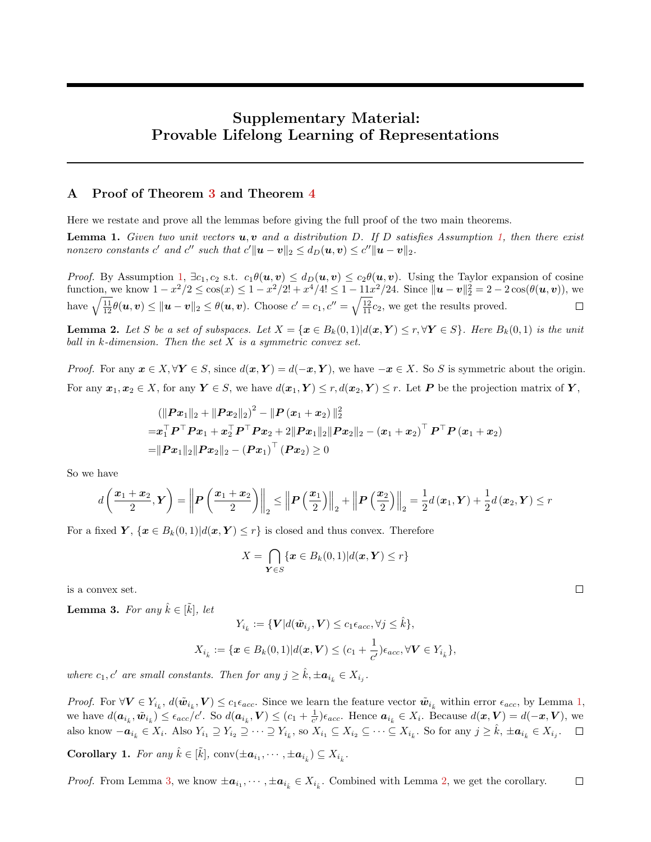# Supplementary Material: Provable Lifelong Learning of Representations

## <span id="page-11-0"></span>A Proof of Theorem [3](#page-5-0) and Theorem [4](#page-5-1)

Here we restate and prove all the lemmas before giving the full proof of the two main theorems.

**Lemma 1.** Given two unit vectors  $u, v$  and a distribution D. If D satisfies Assumption [1,](#page-2-0) then there exist nonzero constants  $c'$  and  $c''$  such that  $c' ||u - v||_2 \le d_D(u, v) \le c'' ||u - v||_2$ .

*Proof.* By Assumption [1,](#page-2-0)  $\exists c_1, c_2$  s.t.  $c_1\theta(\mathbf{u}, \mathbf{v}) \leq d_D(\mathbf{u}, \mathbf{v}) \leq c_2\theta(\mathbf{u}, \mathbf{v})$ . Using the Taylor expansion of cosine function, we know  $1 - x^2/2 \le \cos(x) \le 1 - x^2/2! + x^4/4! \le 1 - 11x^2/24$ . Since  $\|\mathbf{u} - \mathbf{v}\|_2^2 = 2 - 2\cos(\theta(\mathbf{u}, \mathbf{v}))$ , we have  $\sqrt{\frac{11}{12}}\theta(u,v) \leq ||u-v||_2 \leq \theta(u,v)$ . Choose  $c' = c_1, c'' = \sqrt{\frac{12}{11}}c_2$ , we get the results proved.  $\Box$ 

**Lemma 2.** Let S be a set of subspaces. Let  $X = \{x \in B_k(0,1) | d(x,Y) \le r, \forall Y \in S\}$ . Here  $B_k(0,1)$  is the unit ball in  $k$ -dimension. Then the set  $X$  is a symmetric convex set.

*Proof.* For any  $x \in X, \forall Y \in S$ , since  $d(x, Y) = d(-x, Y)$ , we have  $-x \in X$ . So S is symmetric about the origin. For any  $x_1, x_2 \in X$ , for any  $Y \in S$ , we have  $d(x_1, Y) \le r, d(x_2, Y) \le r$ . Let P be the projection matrix of Y,

$$
\begin{aligned} & (\| \boldsymbol{P} \boldsymbol{x}_1 \|_2 + \| \boldsymbol{P} \boldsymbol{x}_2 \|_2)^2 - \| \boldsymbol{P} \left( \boldsymbol{x}_1 + \boldsymbol{x}_2 \right) \|_2^2 \\ =& \boldsymbol{x}_1^\top \boldsymbol{P}^\top \boldsymbol{P} \boldsymbol{x}_1 + \boldsymbol{x}_2^\top \boldsymbol{P}^\top \boldsymbol{P} \boldsymbol{x}_2 + 2 \| \boldsymbol{P} \boldsymbol{x}_1 \|_2 \| \boldsymbol{P} \boldsymbol{x}_2 \|_2 - \left( \boldsymbol{x}_1 + \boldsymbol{x}_2 \right)^\top \boldsymbol{P}^\top \boldsymbol{P} \left( \boldsymbol{x}_1 + \boldsymbol{x}_2 \right) \\ =& \| \boldsymbol{P} \boldsymbol{x}_1 \|_2 \| \boldsymbol{P} \boldsymbol{x}_2 \|_2 - \left( \boldsymbol{P} \boldsymbol{x}_1 \right)^\top \left( \boldsymbol{P} \boldsymbol{x}_2 \right) \geq 0 \end{aligned}
$$

So we have

$$
d\left(\frac{x_1+x_2}{2},Y\right) = \left\|P\left(\frac{x_1+x_2}{2}\right)\right\|_2 \le \left\|P\left(\frac{x_1}{2}\right)\right\|_2 + \left\|P\left(\frac{x_2}{2}\right)\right\|_2 = \frac{1}{2}d(x_1,Y) + \frac{1}{2}d(x_2,Y) \le r
$$

For a fixed  $Y, \{x \in B_k(0,1)|d(x,Y) \leq r\}$  is closed and thus convex. Therefore

$$
X = \bigcap_{\mathbf{Y} \in S} \{ \mathbf{x} \in B_k(0,1) | d(\mathbf{x}, \mathbf{Y}) \le r \}
$$

is a convex set.

**Lemma 3.** For any  $\hat{k} \in [\tilde{k}]$ , let

$$
Y_{i_{\hat{k}}} := \{ \mathbf{V} | d(\tilde{\mathbf{w}}_{i_j}, \mathbf{V}) \le c_1 \epsilon_{acc}, \forall j \le \hat{k} \},
$$
  

$$
X_{i_{\hat{k}}} := \{ \mathbf{x} \in B_k(0,1) | d(\mathbf{x}, \mathbf{V}) \le (c_1 + \frac{1}{c'}) \epsilon_{acc}, \forall \mathbf{V} \in Y_{i_{\hat{k}}} \},
$$

where  $c_1, c'$  are small constants. Then for any  $j \geq \hat{k}, \pm a_{i_{\hat{k}}} \in X_{i_j}$ .

*Proof.* For  $\forall V \in Y_{i_k}$ ,  $d(\tilde{w}_{i_k}, V) \leq c_1 \epsilon_{acc}$ . Since we learn the feature vector  $\tilde{w}_{i_k}$  within error  $\epsilon_{acc}$ , by Lemma [1,](#page-6-1) we have  $d(\boldsymbol{a}_{i_k}, \tilde{\boldsymbol{w}}_{i_k}) \leq \epsilon_{acc}/c'$ . So  $d(\boldsymbol{a}_{i_k}, V) \leq (c_1 + \frac{1}{c'})\epsilon_{acc}$ . Hence  $\boldsymbol{a}_{i_k} \in X_i$ . Because  $d(\boldsymbol{x}, V) = d(-\boldsymbol{x}, V)$ , we also know  $-\boldsymbol{a}_{i_{\hat{k}}}\in X_i$ . Also  $Y_{i_1}\supseteq Y_{i_2}\supseteq\cdots\supseteq Y_{i_{\tilde{k}}}$ , so  $X_{i_1}\subseteq X_{i_2}\subseteq\cdots\subseteq X_{i_{\tilde{k}}}$ . So for any  $j\geq \hat{k}$ ,  $\pm \boldsymbol{a}_{i_{\hat{k}}}\in X_{i_j}$ .

Corollary 1. For any  $\hat{k} \in [\tilde{k}], \text{ conv}(\pm \boldsymbol{a}_{i_1}, \cdots, \pm \boldsymbol{a}_{i_{\hat{k}}}) \subseteq X_{i_{\hat{k}}}.$ 

*Proof.* From Lemma [3,](#page-6-3) we know  $\pm a_{i_1}, \dots, \pm a_{i_k} \in X_{i_k}$ . Combined with Lemma [2,](#page-6-2) we get the corollary.  $\Box$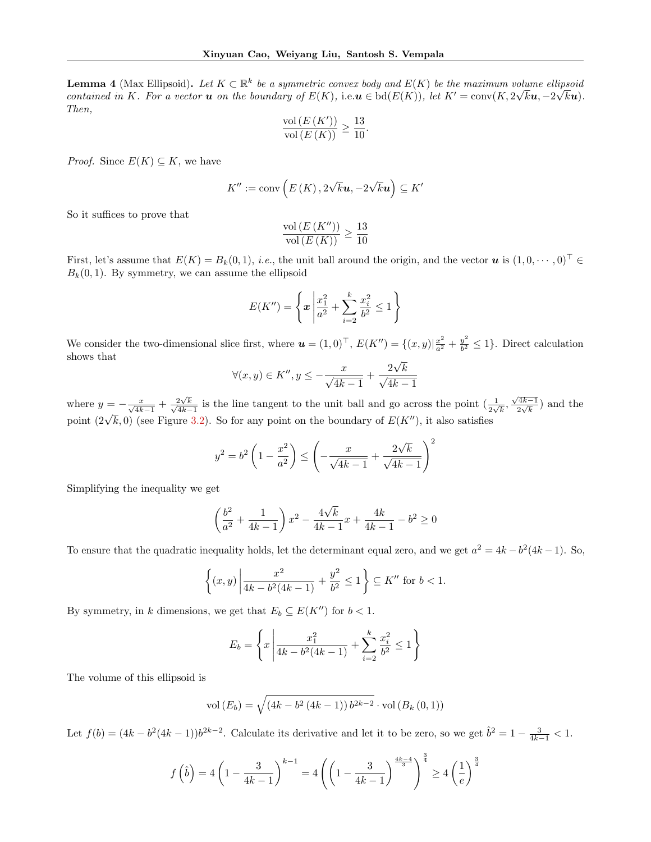**Lemma 4** (Max Ellipsoid). Let  $K \subset \mathbb{R}^k$  be a symmetric convex body and  $E(K)$  be the maximum volume ellipsoid contained in K. For a vector **u** on the boundary of  $E(K)$ , i.e.  $u \in bd(E(K))$ , let  $K' = \text{conv}(K, 2\sqrt{k}u, -2\sqrt{k}u)$ . Then,

$$
\frac{\text{vol}\left(E\left(K'\right)\right)}{\text{vol}\left(E\left(K\right)\right)} \ge \frac{13}{10}
$$

.

*Proof.* Since  $E(K) \subseteq K$ , we have

$$
K^{\prime\prime}:=\operatorname{conv}\left(E\left(K\right),2\sqrt{k}\boldsymbol{u},-2\sqrt{k}\boldsymbol{u}\right)\subseteq K^{\prime}
$$

So it suffices to prove that

$$
\frac{\text{vol}\left(E\left(K^{\prime\prime}\right)\right)}{\text{vol}\left(E\left(K\right)\right)} \ge \frac{13}{10}
$$

First, let's assume that  $E(K) = B_k(0, 1)$ , *i.e.*, the unit ball around the origin, and the vector  $u$  is  $(1, 0, \dots, 0)^\top \in$  $B_k(0, 1)$ . By symmetry, we can assume the ellipsoid

$$
E(K'') = \left\{ x \left| \frac{x_1^2}{a^2} + \sum_{i=2}^k \frac{x_i^2}{b^2} \le 1 \right. \right\}
$$

We consider the two-dimensional slice first, where  $\mathbf{u} = (1,0)^{\top}$ ,  $E(K'') = \{(x,y)|\frac{x^2}{a^2} + \frac{y^2}{b^2}\}$  $\frac{y^2}{b^2} \leq 1$ . Direct calculation shows that √

$$
\forall (x, y) \in K'', y \le -\frac{x}{\sqrt{4k - 1}} + \frac{2\sqrt{k}}{\sqrt{4k - 1}}
$$

where  $y = -\frac{x}{\sqrt{4k-1}} + \frac{2\sqrt{4k}}{\sqrt{4k}}$  $\frac{2\sqrt{k}}{k}$  $\frac{2\sqrt{k}}{4k-1}$  is the line tangent to the unit ball and go across the point  $\left(\frac{1}{2\sqrt{k}}, \frac{\sqrt{4k-1}}{2\sqrt{k}}\right)$  $\frac{(4k-1)}{2\sqrt{k}}$  and the point  $(2\sqrt{k}, 0)$  (see Figure [3.2\)](#page-7-0). So for any point on the boundary of  $E(K'')$ , it also satisfies

$$
y^{2} = b^{2} \left( 1 - \frac{x^{2}}{a^{2}} \right) \le \left( -\frac{x}{\sqrt{4k - 1}} + \frac{2\sqrt{k}}{\sqrt{4k - 1}} \right)^{2}
$$

Simplifying the inequality we get

$$
\left(\frac{b^2}{a^2} + \frac{1}{4k - 1}\right)x^2 - \frac{4\sqrt{k}}{4k - 1}x + \frac{4k}{4k - 1} - b^2 \ge 0
$$

To ensure that the quadratic inequality holds, let the determinant equal zero, and we get  $a^2 = 4k - b^2(4k - 1)$ . So,

$$
\left\{ (x,y) \left| \frac{x^2}{4k - b^2(4k-1)} + \frac{y^2}{b^2} \le 1 \right. \right\} \subseteq K'' \text{ for } b < 1.
$$

By symmetry, in k dimensions, we get that  $E_b \subseteq E(K'')$  for  $b < 1$ .

$$
E_b = \left\{ x \left| \frac{x_1^2}{4k - b^2(4k - 1)} + \sum_{i=2}^k \frac{x_i^2}{b^2} \le 1 \right. \right\}
$$

The volume of this ellipsoid is

vol 
$$
(E_b)
$$
 =  $\sqrt{(4k - b^2 (4k - 1)) b^{2k - 2}}$  vol  $(B_k (0, 1))$ 

Let  $f(b) = (4k - b^2(4k - 1))b^{2k-2}$ . Calculate its derivative and let it to be zero, so we get  $\hat{b}^2 = 1 - \frac{3}{4k-1} < 1$ .

$$
f\left(\hat{b}\right) = 4\left(1 - \frac{3}{4k - 1}\right)^{k - 1} = 4\left(\left(1 - \frac{3}{4k - 1}\right)^{\frac{4k - 4}{3}}\right)^{\frac{3}{4}} \ge 4\left(\frac{1}{e}\right)^{\frac{3}{4}}
$$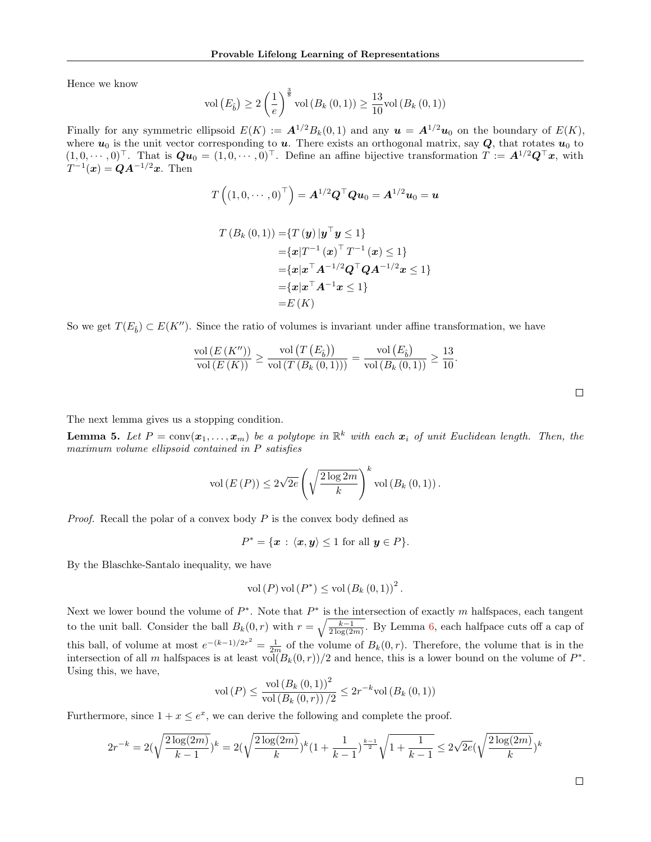Hence we know

$$
vol(E_{\hat{b}}) \ge 2\left(\frac{1}{e}\right)^{\frac{3}{8}} vol(B_{k}(0,1)) \ge \frac{13}{10} vol(B_{k}(0,1))
$$

Finally for any symmetric ellipsoid  $E(K) := \mathbf{A}^{1/2} B_k(0,1)$  and any  $\mathbf{u} = \mathbf{A}^{1/2} \mathbf{u}_0$  on the boundary of  $E(K)$ , where  $u_0$  is the unit vector corresponding to  $u$ . There exists an orthogonal matrix, say  $Q$ , that rotates  $u_0$  to  $(1, 0, \cdots, 0)^\top$ . That is  $\boldsymbol{Qu}_0 = (1, 0, \cdots, 0)^\top$ . Define an affine bijective transformation  $\boldsymbol{T} := \boldsymbol{A}^{1/2}\boldsymbol{Q}^\top\boldsymbol{x}$ , with  $T^{-1}(\bm{x}) = \bm{Q}\bm{A}^{-1/2}\bm{x}$ . Then

$$
T\left(\left(1,0,\cdots,0\right)^{\top}\right) = \boldsymbol{A}^{1/2}\boldsymbol{Q}^{\top}\boldsymbol{Q}\boldsymbol{u}_0 = \boldsymbol{A}^{1/2}\boldsymbol{u}_0 = \boldsymbol{u}
$$

$$
T(B_k(0,1)) = \{T(y)|y^\top y \le 1\}
$$
  
=  $\{x|T^{-1}(x)^\top T^{-1}(x) \le 1\}$   
=  $\{x|x^\top A^{-1/2}Q^\top QA^{-1/2}x \le 1\}$   
=  $\{x|x^\top A^{-1}x \le 1\}$   
=  $E(K)$ 

So we get  $T(E_{\hat{b}}) \subset E(K'')$ . Since the ratio of volumes is invariant under affine transformation, we have

$$
\frac{\text{vol}(E(K''))}{\text{vol}(E(K))} \ge \frac{\text{vol}(T(E_{\hat{b}}))}{\text{vol}(T(B_{k}(0,1)))} = \frac{\text{vol}(E_{\hat{b}})}{\text{vol}(B_{k}(0,1))} \ge \frac{13}{10}.
$$

The next lemma gives us a stopping condition.

<span id="page-13-0"></span>**Lemma 5.** Let  $P = \text{conv}(\boldsymbol{x}_1, \dots, \boldsymbol{x}_m)$  be a polytope in  $\mathbb{R}^k$  with each  $\boldsymbol{x}_i$  of unit Euclidean length. Then, the maximum volume ellipsoid contained in P satisfies

$$
\text{vol}\left(E\left(P\right)\right) \leq 2\sqrt{2e} \left(\sqrt{\frac{2\log 2m}{k}}\right)^k \text{vol}\left(B_k\left(0,1\right)\right).
$$

*Proof.* Recall the polar of a convex body  $P$  is the convex body defined as

$$
P^* = \{ \mathbf{x} : \langle \mathbf{x}, \mathbf{y} \rangle \le 1 \text{ for all } \mathbf{y} \in P \}.
$$

By the Blaschke-Santalo inequality, we have

vol 
$$
(P)
$$
 vol  $(P^*) \leq$  vol  $(B_k(0,1))^2$ .

Next we lower bound the volume of  $P^*$ . Note that  $P^*$  is the intersection of exactly m halfspaces, each tangent to the unit ball. Consider the ball  $B_k(0,r)$  with  $r = \sqrt{\frac{k-1}{2 \log(2m)}}$ . By Lemma [6,](#page-14-1) each halfpace cuts off a cap of this ball, of volume at most  $e^{-(k-1)/2r^2} = \frac{1}{2m}$  of the volume of  $B_k(0,r)$ . Therefore, the volume that is in the intersection of all m halfspaces is at least vol $(B_k(0,r))/2$  and hence, this is a lower bound on the volume of  $P^*$ . Using this, we have,

$$
\text{vol}(P) \le \frac{\text{vol}(B_k(0,1))^2}{\text{vol}(B_k(0,r))/2} \le 2r^{-k}\text{vol}(B_k(0,1))
$$

Furthermore, since  $1 + x \leq e^x$ , we can derive the following and complete the proof.

$$
2r^{-k} = 2(\sqrt{\frac{2\log(2m)}{k-1}})^k = 2(\sqrt{\frac{2\log(2m)}{k}})^k(1+\frac{1}{k-1})^{\frac{k-1}{2}}\sqrt{1+\frac{1}{k-1}} \leq 2\sqrt{2e}(\sqrt{\frac{2\log(2m)}{k}})^k
$$

 $\Box$ 

 $\Box$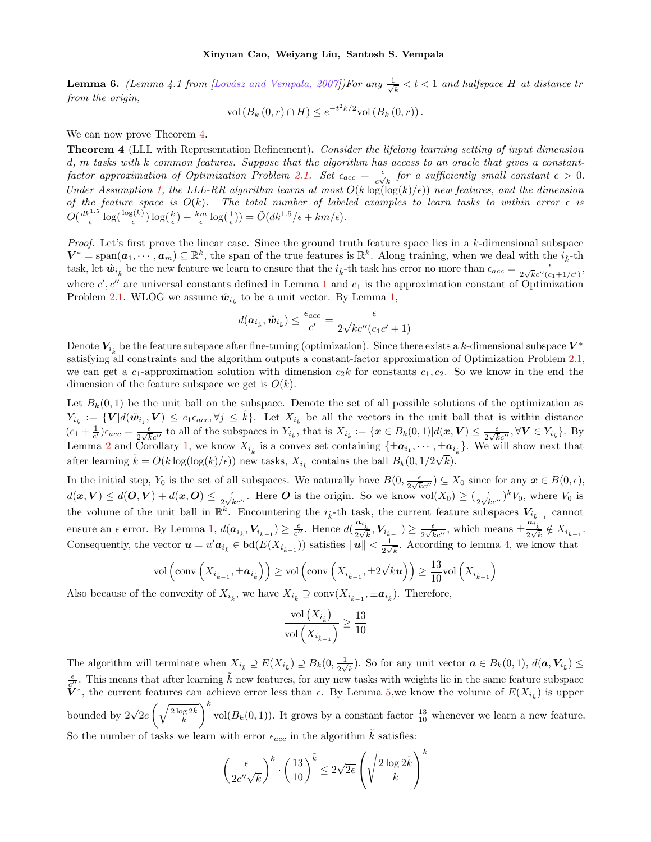<span id="page-14-1"></span><span id="page-14-0"></span>**Lemma 6.** (Lemma 4.1 from [Lovász and Vempala, 2007])For any  $\frac{1}{\sqrt{2}}$  $\frac{1}{k} < t < 1$  and halfspace H at distance tr from the origin,

$$
vol(B_k(0,r) \cap H) \leq e^{-t^2k/2} vol(B_k(0,r)).
$$

We can now prove Theorem [4.](#page-5-1)

Theorem 4 (LLL with Representation Refinement). Consider the lifelong learning setting of input dimension d, m tasks with k common features. Suppose that the algorithm has access to an oracle that gives a constant-factor approximation of Optimization Problem [2.1.](#page-4-2) Set  $\epsilon_{acc} = \frac{\epsilon}{\epsilon_0 l}$  $\frac{\epsilon}{c\sqrt{k}}$  for a sufficiently small constant  $c > 0$ . Under Assumption [1,](#page-2-0) the LLL-RR algorithm learns at most  $O(k \log(\log(k)/\epsilon))$  new features, and the dimension of the feature space is  $O(k)$ . The total number of labeled examples to learn tasks to within error  $\epsilon$  is  $O\left(\frac{dk^{1.5}}{\epsilon}\log\left(\frac{\log(k)}{\epsilon}\right)\log\left(\frac{k}{\epsilon}\right)+\frac{km}{\epsilon}\log\left(\frac{1}{\epsilon}\right)\right)=\tilde{O}(dk^{1.5}/\epsilon+km/\epsilon).$ 

Proof. Let's first prove the linear case. Since the ground truth feature space lies in a k-dimensional subspace  $\mathbf{V}^* = \text{span}(\boldsymbol{a}_1, \dots, \boldsymbol{a}_m) \subseteq \mathbb{R}^k$ , the span of the true features is  $\mathbb{R}^k$ . Along training, when we deal with the  $i_k$ -th task, let  $\hat{w}_{i_k}$  be the new feature we learn to ensure that the  $i_k$ -th task has error no more than  $\epsilon_{acc} = \frac{\epsilon}{2\sqrt{k}c''/c}$  $\frac{\epsilon}{2\sqrt{k}c''(c_1+1/c')},$ where  $c', c''$  are universal constants defined in Lemma [1](#page-6-1) and  $c_1$  is the approximation constant of Optimization Problem [2.1.](#page-4-2) WLOG we assume  $\hat{w}_{i_{\hat{k}}}$  to be a unit vector. By Lemma [1,](#page-6-1)

$$
d(\boldsymbol{a}_{i_k}, \hat{\boldsymbol{w}}_{i_k}) \leq \frac{\epsilon_{acc}}{c'} = \frac{\epsilon}{2\sqrt{k}c''(c_1c'+1)}
$$

Denote  $V_{i_k}$  be the feature subspace after fine-tuning (optimization). Since there exists a k-dimensional subspace  $V^*$ satisfying all constraints and the algorithm outputs a constant-factor approximation of Optimization Problem [2.1,](#page-4-2) we can get a c<sub>1</sub>-approximation solution with dimension  $c_2k$  for constants  $c_1, c_2$ . So we know in the end the dimension of the feature subspace we get is  $O(k)$ .

Let  $B_k(0,1)$  be the unit ball on the subspace. Denote the set of all possible solutions of the optimization as  $Y_{i_{\hat{k}}} := \{ V | d(\tilde{w}_{i_j}, V) \leq c_1 \epsilon_{acc}, \forall j \leq \hat{k} \}.$  Let  $X_{i_{\hat{k}}}$  be all the vectors in the unit ball that is within distance  $(c_1 + \frac{1}{c'})\epsilon_{acc} = \frac{\epsilon}{2\sqrt{k}}$  $\frac{\epsilon}{2\sqrt{k}c''}$  to all of the subspaces in  $Y_{i_k}$ , that is  $X_{i_k} := \{x \in B_k(0,1)|d(x, V) \leq \frac{\epsilon}{2\sqrt{k}}\}$  $\frac{\epsilon}{2\sqrt{k}c^{\prime\prime}}$ ,  $\forall V \in Y_{i_{\hat{k}}}$ . By Lemma [2](#page-6-2) and Corollary [1,](#page-6-4) we know  $X_{i_k}$  is a convex set containing  $\{\pm \mathbf{a}_{i_1}, \dots, \pm \mathbf{a}_{i_k}\}$ . We will show next that after learning  $\tilde{k} = O(k \log(\log(k)/\epsilon))$  new tasks,  $X_{i_{\tilde{k}}}$  contains the ball  $B_k(0, 1/2\sqrt{k})$ .

In the initial step,  $Y_0$  is the set of all subspaces. We naturally have  $B(0, \frac{\epsilon}{2\sqrt{k}})$  $\frac{\epsilon}{2\sqrt{k}c''}$ )  $\subseteq X_0$  since for any  $\boldsymbol{x} \in B(0,\epsilon)$ ,  $d(\boldsymbol{x},\boldsymbol{V}) \leq d(\boldsymbol{O},\boldsymbol{V}) + d(\boldsymbol{x},\boldsymbol{O}) \leq \frac{\epsilon}{2\sqrt{d}}$  $\frac{\epsilon}{2\sqrt{k}c''}$ . Here *O* is the origin. So we know vol $(X_0) \geq (\frac{\epsilon}{2\sqrt{k}})$  $\frac{\epsilon}{2\sqrt{k}c^{\prime\prime}}$ <sup>k</sup> $V_0$ , where  $V_0$  is the volume of the unit ball in  $\mathbb{R}^k$ . Encountering the  $i_k$ -th task, the current feature subspaces  $V_{i_{k-1}}$  cannot ensure an  $\epsilon$  error. By Lemma [1,](#page-6-1)  $d(a_{i_k}, V_{i_{k-1}}) \ge \frac{\epsilon}{c''}$ . Hence  $d(\frac{a_{i_k}}{2\sqrt{k}}, V_{i_{k-1}}) \ge \frac{\epsilon}{2\sqrt{k}}$  $\frac{\epsilon}{2\sqrt{k}c''}$ , which means  $\pm \frac{a_{i_k}}{2\sqrt{k}} \notin X_{i_{k-1}}$ . Consequently, the vector  $u = u' a_{i_k} \in \text{bd}(E(X_{i_{k-1}}))$  satisfies  $||u|| < \frac{1}{2\sqrt{k}}$  $\frac{1}{2\sqrt{k}}$ . According to lemma [4,](#page-6-5) we know that

$$
\mathrm{vol}\left(\mathrm{conv}\left(X_{i_{\hat{k}-1}},\pm \boldsymbol{a}_{i_{\hat{k}}}\right)\right)\geq \mathrm{vol}\left(\mathrm{conv}\left(X_{i_{\hat{k}-1}},\pm 2\sqrt{k}\boldsymbol{u}\right)\right)\geq \frac{13}{10}\mathrm{vol}\left(X_{i_{\hat{k}-1}}\right)
$$

Also because of the convexity of  $X_{i_{\hat{k}}}$ , we have  $X_{i_{\hat{k}}} \supseteq \text{conv}(X_{i_{\hat{k}-1}}, \pm \mathbf{a}_{i_{\hat{k}}})$ . Therefore,

$$
\frac{\text{vol}\left(X_{i_{\hat{k}}}\right)}{\text{vol}\left(X_{i_{\hat{k}-1}}\right)} \ge \frac{13}{10}
$$

The algorithm will terminate when  $X_{i_k} \supseteq E(X_{i_k}) \supseteq B_k(0, \frac{1}{2\sqrt{k}})$  $\frac{1}{2\sqrt{k}}$ ). So for any unit vector  $\boldsymbol{a} \in B_k(0,1)$ ,  $d(\boldsymbol{a}, \boldsymbol{V}_{i_{\vec{k}}}) \leq$  $\frac{\epsilon}{c''}$ . This means that after learning  $\tilde{k}$  new features, for any new tasks with weights lie in the same feature subspace  $\tilde{V}^*$ , the current features can achieve error less than  $\epsilon$ . By Lemma [5,](#page-13-0) we know the volume of  $E(X_{i_{\bar{k}}})$  is upper bounded by  $2\sqrt{2e} \left(\sqrt{\frac{2\log 2\tilde{k}}{k}}\right)$  $\int_0^k$  vol $(B_k(0, 1))$ . It grows by a constant factor  $\frac{13}{10}$  whenever we learn a new feature. So the number of tasks we learn with error  $\epsilon_{acc}$  in the algorithm  $\tilde{k}$  satisfies:

$$
\left(\frac{\epsilon}{2c''\sqrt{k}}\right)^k \cdot \left(\frac{13}{10}\right)^{\tilde{k}} \le 2\sqrt{2e} \left(\sqrt{\frac{2\log 2\tilde{k}}{k}}\right)^k
$$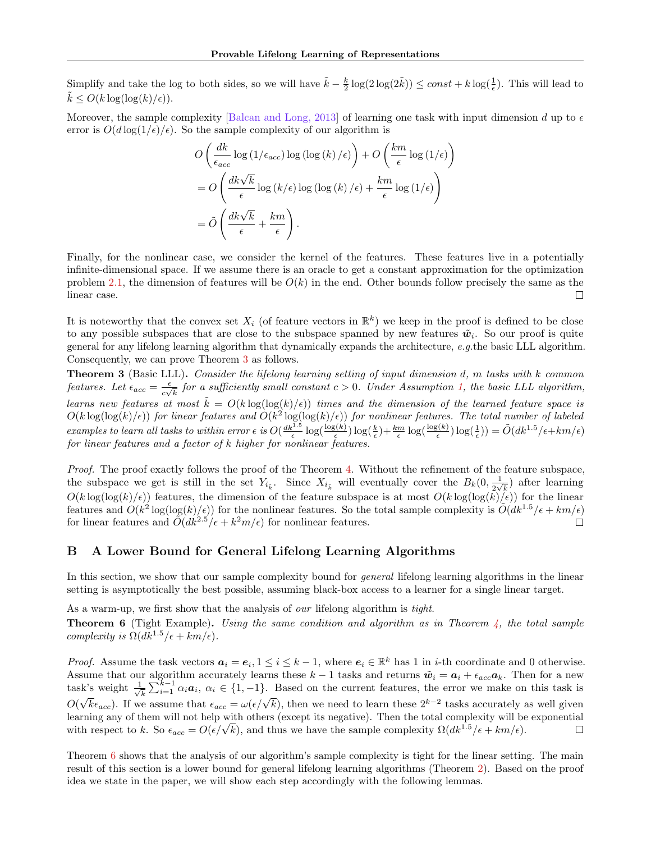<span id="page-15-1"></span>Simplify and take the log to both sides, so we will have  $\tilde{k} - \frac{k}{2} \log(2 \log(2 \tilde{k})) \le const + k \log(\frac{1}{\epsilon})$ . This will lead to  $k \le O(k \log(\log(k)/\epsilon)).$ 

Moreover, the sample complexity [\[Balcan and Long, 2013\]](#page-9-19) of learning one task with input dimension d up to  $\epsilon$ error is  $O(d \log(1/\epsilon)/\epsilon)$ . So the sample complexity of our algorithm is

$$
O\left(\frac{dk}{\epsilon_{acc}}\log\left(1/\epsilon_{acc}\right)\log\left(\log\left(k\right)/\epsilon\right)\right) + O\left(\frac{km}{\epsilon}\log\left(1/\epsilon\right)\right)
$$

$$
= O\left(\frac{dk\sqrt{k}}{\epsilon}\log\left(k/\epsilon\right)\log\left(\log\left(k\right)/\epsilon\right) + \frac{km}{\epsilon}\log\left(1/\epsilon\right)\right)
$$

$$
= \tilde{O}\left(\frac{dk\sqrt{k}}{\epsilon} + \frac{km}{\epsilon}\right).
$$

Finally, for the nonlinear case, we consider the kernel of the features. These features live in a potentially infinite-dimensional space. If we assume there is an oracle to get a constant approximation for the optimization problem [2.1,](#page-4-2) the dimension of features will be  $O(k)$  in the end. Other bounds follow precisely the same as the  $\Box$ linear case.

It is noteworthy that the convex set  $X_i$  (of feature vectors in  $\mathbb{R}^k$ ) we keep in the proof is defined to be close to any possible subspaces that are close to the subspace spanned by new features  $\tilde{w}_i$ . So our proof is quite general for any lifelong learning algorithm that dynamically expands the architecture, e.g.the basic LLL algorithm. Consequently, we can prove Theorem [3](#page-5-0) as follows.

**Theorem 3** (Basic LLL). Consider the lifelong learning setting of input dimension d, m tasks with k common features. Let  $\epsilon_{acc} = \frac{\epsilon}{\omega}$  $\frac{\epsilon}{c\sqrt{k}}$  for a sufficiently small constant  $c > 0$ . Under Assumption [1,](#page-2-0) the basic LLL algorithm, learns new features at most  $\tilde{k} = O(k \log(\log(k)/\epsilon))$  times and the dimension of the learned feature space is  $O(k \log(\log(k)/\epsilon))$  for linear features and  $O(k^2 \log(\log(k)/\epsilon))$  for nonlinear features. The total number of labeled examples to learn all tasks to within error  $\epsilon$  is  $O(\frac{dk^{1.5}}{\epsilon} \log(\frac{\log(k)}{\epsilon}))$  $\log(\frac{k}{\epsilon}) + \frac{km}{\epsilon} \log(\frac{\log(k)}{\epsilon})$  $\frac{g(k)}{\epsilon}) \log(\frac{1}{\epsilon})$  =  $\tilde{O}(dk^{1.5}/\epsilon + km/\epsilon)$ for linear features and a factor of k higher for nonlinear features.

Proof. The proof exactly follows the proof of the Theorem [4.](#page-5-1) Without the refinement of the feature subspace, the subspace we get is still in the set  $Y_{i_{\bar{k}}}$ . Since  $X_{i_{\bar{k}}}$  will eventually cover the  $B_k(0, \frac{1}{2\sqrt{k}})$  $\frac{1}{2\sqrt{k}}$ ) after learning  $O(k \log(\log(k)/\epsilon))$  features, the dimension of the feature subspace is at most  $O(k \log(\log(k)/\epsilon))$  for the linear features and  $O(k^2 \log(\log(k)/\epsilon))$  for the nonlinear features. So the total sample complexity is  $O(dk^{1.5}/\epsilon + km/\epsilon)$ for linear features and  $\tilde{O}(dk^{2.5}/\epsilon + k^2m/\epsilon)$  for nonlinear features.  $\Box$ 

## <span id="page-15-0"></span>B A Lower Bound for General Lifelong Learning Algorithms

In this section, we show that our sample complexity bound for *general* lifelong learning algorithms in the linear setting is asymptotically the best possible, assuming black-box access to a learner for a single linear target.

<span id="page-15-2"></span>As a warm-up, we first show that the analysis of *our* lifelong algorithm is tight. **Theorem 6** (Tight Example). Using the same condition and algorithm as in Theorem [4,](#page-5-1) the total sample complexity is  $\Omega(dk^{1.5}/\epsilon + km/\epsilon)$ .

*Proof.* Assume the task vectors  $a_i = e_i, 1 \leq i \leq k-1$ , where  $e_i \in \mathbb{R}^k$  has 1 in *i*-th coordinate and 0 otherwise. Assume that our algorithm accurately learns these  $k-1$  tasks and returns  $\tilde{\boldsymbol{w}}_i = \boldsymbol{a}_i + \epsilon_{acc} \boldsymbol{a}_k$ . Then for a new  $\frac{1}{k}\sum_{i=1}^{k-1}\alpha_i a_i, \ \alpha_i \in \{1,-1\}.$  Based on the current features, the error we make on this task is task's weight  $\frac{1}{\sqrt{2}}$  $\sqrt{k} \epsilon_{acc}$ . If we assume that  $\epsilon_{acc} = \omega(\epsilon/\sqrt{k})$ , then we need to learn these  $2^{k-2}$  tasks accurately as well given O( learning any of them will not help with others (except its negative). Then the total complexity will be exponential earning any of them will not help with others (except its negative). Then the total complexity will be with respect to k. So  $\epsilon_{acc} = O(\epsilon/\sqrt{k})$ , and thus we have the sample complexity  $\Omega(dk^{1.5}/\epsilon + km/\epsilon)$ .  $\Box$ 

Theorem [6](#page-15-2) shows that the analysis of our algorithm's sample complexity is tight for the linear setting. The main result of this section is a lower bound for general lifelong learning algorithms (Theorem [2\)](#page-2-1). Based on the proof idea we state in the paper, we will show each step accordingly with the following lemmas.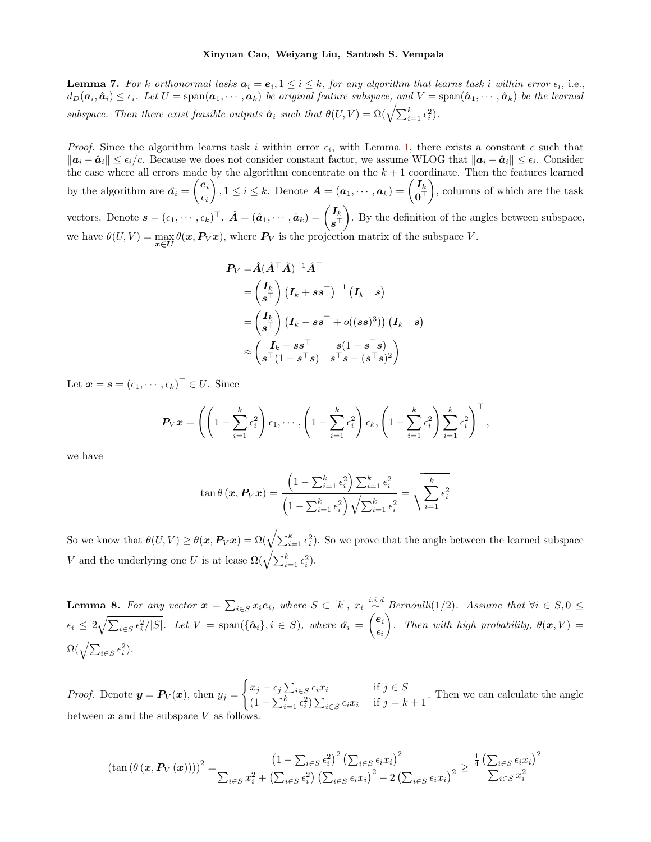<span id="page-16-0"></span>**Lemma 7.** For k orthonormal tasks  $a_i = e_i, 1 \le i \le k$ , for any algorithm that learns task i within error  $\epsilon_i$ , i.e.,  $d_D(a_i, \hat{a}_i) \leq \epsilon_i$ . Let  $U = \text{span}(a_1, \cdots, a_k)$  be original feature subspace, and  $V = \text{span}(\hat{a}_1, \cdots, \hat{a}_k)$  be the learned subspace. Then there exist feasible outputs  $\hat{a}_i$  such that  $\theta(U,V) = \Omega(\sqrt{\sum_{i=1}^k \epsilon_i^2})$ .

*Proof.* Since the algorithm learns task i within error  $\epsilon_i$ , with Lemma [1,](#page-6-1) there exists a constant c such that  $||a_i - \hat{a}_i|| \leq \epsilon_i/c$ . Because we does not consider constant factor, we assume WLOG that  $||a_i - \hat{a}_i|| \leq \epsilon_i$ . Consider the case where all errors made by the algorithm concentrate on the  $k + 1$  coordinate. Then the features learned by the algorithm are  $\hat{a_i} = \begin{pmatrix} e_i \\ e_i \end{pmatrix}$  $\epsilon_i$  $\bigg), 1 \leq i \leq k.$  Denote  $\boldsymbol{A} = (\boldsymbol{a}_1, \cdots, \boldsymbol{a}_k) = \begin{pmatrix} I_k \\ \boldsymbol{a}^\top \end{pmatrix}$  $\mathbf{0}^{\top}$  , columns of which are the task vectors. Denote  $\mathbf{s} = (\epsilon_1, \cdots, \epsilon_k)^\top$ .  $\hat{\mathbf{A}} = (\hat{\mathbf{a}}_1, \cdots, \hat{\mathbf{a}}_k) = \begin{pmatrix} I_k \\ \mathbf{s}^\top \end{pmatrix}$  $s^\top$  . By the definition of the angles between subspace, we have  $\theta(U, V) = \max_{x \in U} \theta(x, P_V x)$ , where  $P_V$  is the projection matrix of the subspace V.

$$
\begin{aligned} \boldsymbol{P_V} =& \hat{\boldsymbol{A}} (\hat{\boldsymbol{A}}^\top \hat{\boldsymbol{A}})^{-1} \hat{\boldsymbol{A}}^\top \\ =& \begin{pmatrix} \boldsymbol{I_k} \\ \boldsymbol{s}^\top \end{pmatrix} \left( \boldsymbol{I_k} + \boldsymbol{s} \boldsymbol{s}^\top \right)^{-1} \left( \boldsymbol{I_k} \quad \boldsymbol{s} \right) \\ =& \begin{pmatrix} \boldsymbol{I_k} \\ \boldsymbol{s}^\top \end{pmatrix} \left( \boldsymbol{I_k} - \boldsymbol{s} \boldsymbol{s}^\top + o((s \boldsymbol{s})^3) \right) \left( \boldsymbol{I_k} \quad \boldsymbol{s} \right) \\ \approx & \begin{pmatrix} \boldsymbol{I_k} - \boldsymbol{s} \boldsymbol{s}^\top & \boldsymbol{s} (1 - \boldsymbol{s}^\top \boldsymbol{s}) \\ \boldsymbol{s}^\top (1 - \boldsymbol{s}^\top \boldsymbol{s}) & \boldsymbol{s}^\top \boldsymbol{s} - (\boldsymbol{s}^\top \boldsymbol{s})^2 \end{pmatrix} \end{aligned}
$$

Let  $\boldsymbol{x} = \boldsymbol{s} = (\epsilon_1, \cdots, \epsilon_k)^\top \in U$ . Since

$$
\boldsymbol{P}_V \boldsymbol{x} = \left( \left( 1 - \sum_{i=1}^k \epsilon_i^2 \right) \epsilon_1, \cdots, \left( 1 - \sum_{i=1}^k \epsilon_i^2 \right) \epsilon_k, \left( 1 - \sum_{i=1}^k \epsilon_i^2 \right) \sum_{i=1}^k \epsilon_i^2 \right)^{\top},
$$

we have

$$
\tan \theta (\mathbf{x}, \mathbf{P}_V \mathbf{x}) = \frac{\left(1 - \sum_{i=1}^k \epsilon_i^2\right) \sum_{i=1}^k \epsilon_i^2}{\left(1 - \sum_{i=1}^k \epsilon_i^2\right) \sqrt{\sum_{i=1}^k \epsilon_i^2}} = \sqrt{\sum_{i=1}^k \epsilon_i^2}
$$

So we know that  $\theta(U, V) \ge \theta(x, P_V x) = \Omega(\sqrt{\sum_{i=1}^k \epsilon_i^2})$ . So we prove that the angle between the learned subspace V and the underlying one U is at lease  $\Omega(\sqrt{\sum_{i=1}^k \epsilon_i^2})$ .

$$
\Box
$$

<span id="page-16-1"></span>**Lemma 8.** For any vector  $\boldsymbol{x} = \sum_{i \in S} x_i \boldsymbol{e}_i$ , where  $S \subset [k]$ ,  $x_i \stackrel{i.i.d}{\sim}$  Bernoulli(1/2). Assume that  $\forall i \in S, 0 \leq$  $\epsilon_i \leq 2\sqrt{\sum_{i\in S}\epsilon_i^2/|S|}$ . Let  $V = \text{span}(\{\hat{a}_i\}, i \in S)$ , where  $\hat{a}_i = \begin{pmatrix} e_i \\ \epsilon_i \end{pmatrix}$  $\epsilon_i$ ). Then with high probability,  $\theta(\boldsymbol{x}, V) =$  $\Omega(\sqrt{\sum_{i\in S}\epsilon_i^2}).$ 

*Proof.* Denote  $y = P_V(x)$ , then  $y_j =$  $\int x_j - \epsilon_j \sum_{i \in S} \epsilon_i x_i$  if  $j \in S$  $(1 - \sum_{i=1}^k \epsilon_i^2) \sum_{i \in S} \epsilon_i x_i$  if  $j = k + 1$ . Then we can calculate the angle between  $x$  and the subspace V as follow

$$
\left(\tan\left(\theta\left(\boldsymbol{x},\boldsymbol{P}_{V}\left(\boldsymbol{x}\right)\right)\right)\right)^{2} = \frac{\left(1-\sum_{i\in S}\epsilon_{i}^{2}\right)^{2}\left(\sum_{i\in S}\epsilon_{i}x_{i}\right)^{2}}{\sum_{i\in S}x_{i}^{2}+\left(\sum_{i\in S}\epsilon_{i}^{2}\right)\left(\sum_{i\in S}\epsilon_{i}x_{i}\right)^{2}-2\left(\sum_{i\in S}\epsilon_{i}x_{i}\right)^{2}} \geq \frac{\frac{1}{4}\left(\sum_{i\in S}\epsilon_{i}x_{i}\right)^{2}}{\sum_{i\in S}x_{i}^{2}}
$$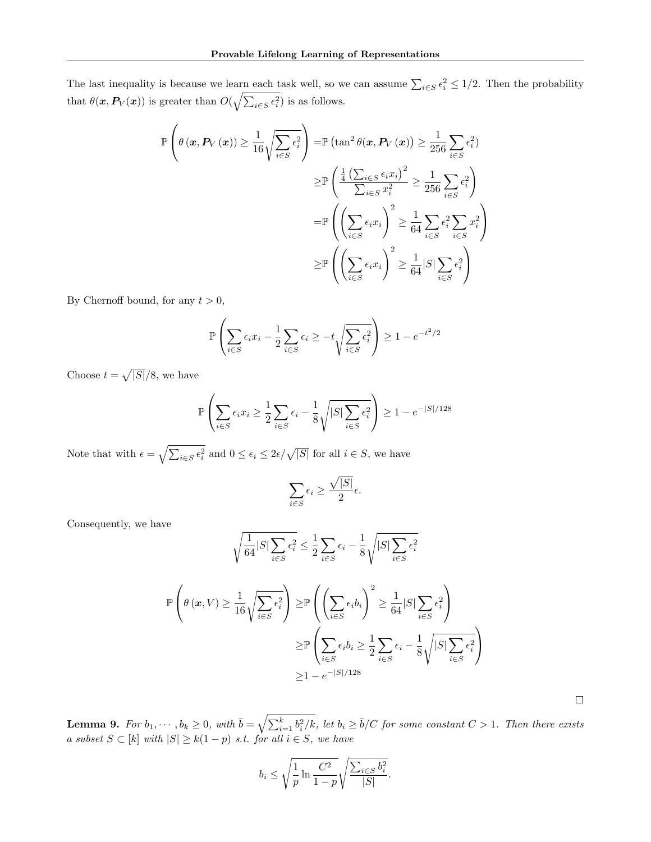The last inequality is because we learn each task well, so we can assume  $\sum_{i\in S}\epsilon_i^2 \leq 1/2$ . Then the probability that  $\theta(\mathbf{x}, P_V(\mathbf{x}))$  is greater than  $O(\sqrt{\sum_{i \in S} \epsilon_i^2})$  is as follows.

$$
\mathbb{P}\left(\theta\left(\boldsymbol{x}, \boldsymbol{P}_{V}\left(\boldsymbol{x}\right)\right) \geq \frac{1}{16} \sqrt{\sum_{i \in S} \epsilon_{i}^{2}}\right) = \mathbb{P}\left(\tan^{2} \theta(\boldsymbol{x}, \boldsymbol{P}_{V}\left(\boldsymbol{x}\right)\right) \geq \frac{1}{256} \sum_{i \in S} \epsilon_{i}^{2}\right)
$$

$$
\geq \mathbb{P}\left(\frac{\frac{1}{4}\left(\sum_{i \in S} \epsilon_{i} x_{i}\right)^{2}}{\sum_{i \in S} x_{i}^{2}} \geq \frac{1}{256} \sum_{i \in S} \epsilon_{i}^{2}\right)
$$

$$
= \mathbb{P}\left(\left(\sum_{i \in S} \epsilon_{i} x_{i}\right)^{2} \geq \frac{1}{64} \sum_{i \in S} \epsilon_{i}^{2} \sum_{i \in S} x_{i}^{2}\right)
$$

$$
\geq \mathbb{P}\left(\left(\sum_{i \in S} \epsilon_{i} x_{i}\right)^{2} \geq \frac{1}{64} |S| \sum_{i \in S} \epsilon_{i}^{2}\right)
$$

By Chernoff bound, for any  $t > 0$ ,

$$
\mathbb{P}\left(\sum_{i\in S}\epsilon_i x_i - \frac{1}{2}\sum_{i\in S}\epsilon_i \ge -t\sqrt{\sum_{i\in S}\epsilon_i^2}\right) \ge 1 - e^{-t^2/2}
$$

Choose  $t = \sqrt{|S|}/8$ , we have

$$
\mathbb{P}\left(\sum_{i\in S} \epsilon_i x_i \ge \frac{1}{2} \sum_{i\in S} \epsilon_i - \frac{1}{8} \sqrt{|S| \sum_{i\in S} \epsilon_i^2}\right) \ge 1 - e^{-|S|/128}
$$

Note that with  $\epsilon = \sqrt{\sum_{i \in S} \epsilon_i^2}$  and  $0 \leq \epsilon_i \leq 2\epsilon/\sqrt{|S|}$  for all  $i \in S$ , we have

$$
\sum_{i \in S} \epsilon_i \ge \frac{\sqrt{|S|}}{2} \epsilon.
$$

Consequently, we have

$$
\sqrt{\frac{1}{64}|S|\sum_{i\in S}\epsilon_i^2} \le \frac{1}{2}\sum_{i\in S}\epsilon_i - \frac{1}{8}\sqrt{|S|\sum_{i\in S}\epsilon_i^2}
$$

$$
\mathbb{P}\left(\theta\left(\mathbf{x}, V\right) \ge \frac{1}{16}\sqrt{\sum_{i\in S}\epsilon_i^2}\right) \ge \mathbb{P}\left(\left(\sum_{i\in S}\epsilon_i b_i\right)^2 \ge \frac{1}{64}|S|\sum_{i\in S}\epsilon_i^2\right)
$$

$$
\ge \mathbb{P}\left(\sum_{i\in S}\epsilon_i b_i \ge \frac{1}{2}\sum_{i\in S}\epsilon_i - \frac{1}{8}\sqrt{|S|\sum_{i\in S}\epsilon_i^2}\right)
$$

$$
\ge 1 - e^{-|S|/128}
$$

 $\Box$ 

<span id="page-17-0"></span>**Lemma 9.** For  $b_1, \dots, b_k \ge 0$ , with  $\bar{b} = \sqrt{\sum_{i=1}^k b_i^2 / k}$ , let  $b_i \ge \bar{b}/C$  for some constant  $C > 1$ . Then there exists a subset  $S \subset [k]$  with  $|S| \geq k(1-p)$  s.t. for all  $i \in S$ , we have

$$
b_i \le \sqrt{\frac{1}{p} \ln \frac{C^2}{1-p}} \sqrt{\frac{\sum_{i \in S} b_i^2}{|S|}}.
$$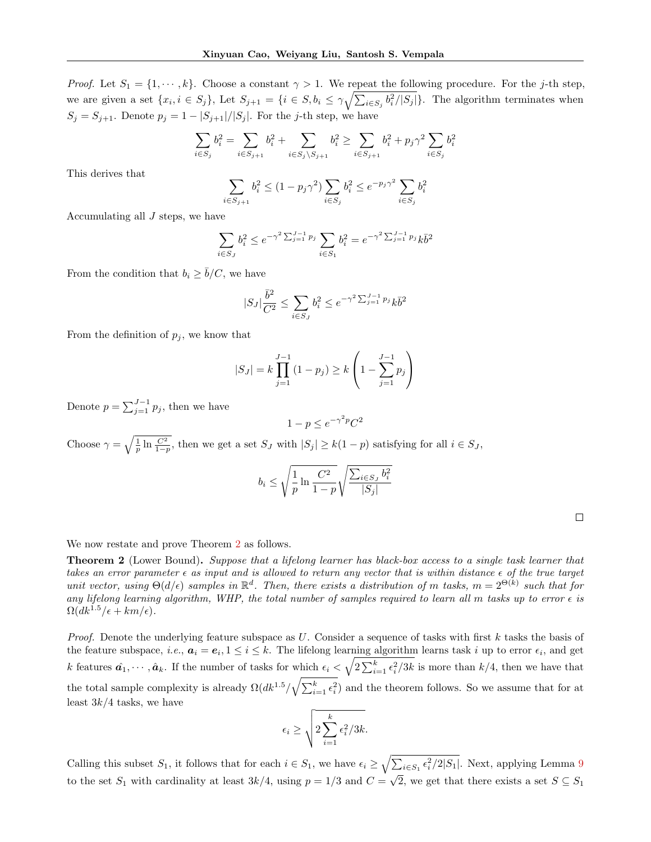*Proof.* Let  $S_1 = \{1, \dots, k\}$ . Choose a constant  $\gamma > 1$ . We repeat the following procedure. For the j-th step, we are given a set  $\{x_i, i \in S_j\}$ , Let  $S_{j+1} = \{i \in S, b_i \leq \gamma \sqrt{\sum_{i \in S_j} b_i^2/|S_j|}\}$ . The algorithm terminates when  $S_j = S_{j+1}$ . Denote  $p_j = 1 - |S_{j+1}|/|S_j|$ . For the j-th step, we have

$$
\sum_{i \in S_j} b_i^2 = \sum_{i \in S_{j+1}} b_i^2 + \sum_{i \in S_j \backslash S_{j+1}} b_i^2 \geq \sum_{i \in S_{j+1}} b_i^2 + p_j \gamma^2 \sum_{i \in S_j} b_i^2
$$

This derives that

$$
\sum_{i \in S_{j+1}} b_i^2 \le (1 - p_j \gamma^2) \sum_{i \in S_j} b_i^2 \le e^{-p_j \gamma^2} \sum_{i \in S_j} b_i^2
$$

Accumulating all  $J$  steps, we have

$$
\sum_{i \in S_J} b_i^2 \le e^{-\gamma^2 \sum_{j=1}^{J-1} p_j} \sum_{i \in S_1} b_i^2 = e^{-\gamma^2 \sum_{j=1}^{J-1} p_j} k \overline{b}^2
$$

From the condition that  $b_i \geq \overline{b}/C$ , we have

$$
|S_J| \frac{\bar{b}^2}{C^2} \le \sum_{i \in S_J} b_i^2 \le e^{-\gamma^2 \sum_{j=1}^{J-1} p_j} k \bar{b}^2
$$

From the definition of  $p_j$ , we know that

$$
|S_J| = k \prod_{j=1}^{J-1} (1 - p_j) \ge k \left( 1 - \sum_{j=1}^{J-1} p_j \right)
$$

Denote  $p = \sum_{j=1}^{J-1} p_j$ , then we have

$$
1 - p \le e^{-\gamma^2 p} C^2
$$

Choose  $\gamma = \sqrt{\frac{1}{p} \ln \frac{C^2}{1-p}}$ , then we get a set  $S_J$  with  $|S_j| \geq k(1-p)$  satisfying for all  $i \in S_J$ ,

$$
b_i \le \sqrt{\frac{1}{p} \ln \frac{C^2}{1-p}} \sqrt{\frac{\sum_{i \in S_J} b_i^2}{|S_j|}}
$$

We now restate and prove Theorem [2](#page-2-1) as follows.

Theorem 2 (Lower Bound). Suppose that a lifelong learner has black-box access to a single task learner that takes an error parameter  $\epsilon$  as input and is allowed to return any vector that is within distance  $\epsilon$  of the true target unit vector, using  $\Theta(d/\epsilon)$  samples in  $\mathbb{R}^d$ . Then, there exists a distribution of m tasks,  $m = 2^{\Theta(k)}$  such that for any lifelong learning algorithm, WHP, the total number of samples required to learn all m tasks up to error  $\epsilon$  is  $\Omega(dk^{1.5}/\epsilon + km/\epsilon)$ .

*Proof.* Denote the underlying feature subspace as  $U$ . Consider a sequence of tasks with first  $k$  tasks the basis of the feature subspace, *i.e.*,  $a_i = e_i, 1 \le i \le k$ . The lifelong learning algorithm learns task *i* up to error  $\epsilon_i$ , and get k features  $\hat{a_1}, \dots, \hat{a_k}$ . If the number of tasks for which  $\epsilon_i < \sqrt{2 \sum_{i=1}^k \epsilon_i^2/3k}$  is more than  $k/4$ , then we have that the total sample complexity is already  $\Omega(dk^{1.5}/\sqrt{\sum_{i=1}^k \epsilon_i^2})$  and the theorem follows. So we assume that for at least  $3k/4$  tasks, we have

$$
\epsilon_i \ge \sqrt{2\sum_{i=1}^k \epsilon_i^2/3k}.
$$

Calling this subset  $S_1$ , it follows that for each  $i \in S_1$ , we have  $\epsilon_i \geq \sqrt{\sum_{i \in S_1} \epsilon_i^2/2|S_1|}$ . Next, applying Lemma [9](#page-17-0) to the set  $S_1$  with cardinality at least  $3k/4$ , using  $p = 1/3$  and  $C =$ √ 2, we get that there exists a set  $S \subseteq S_1$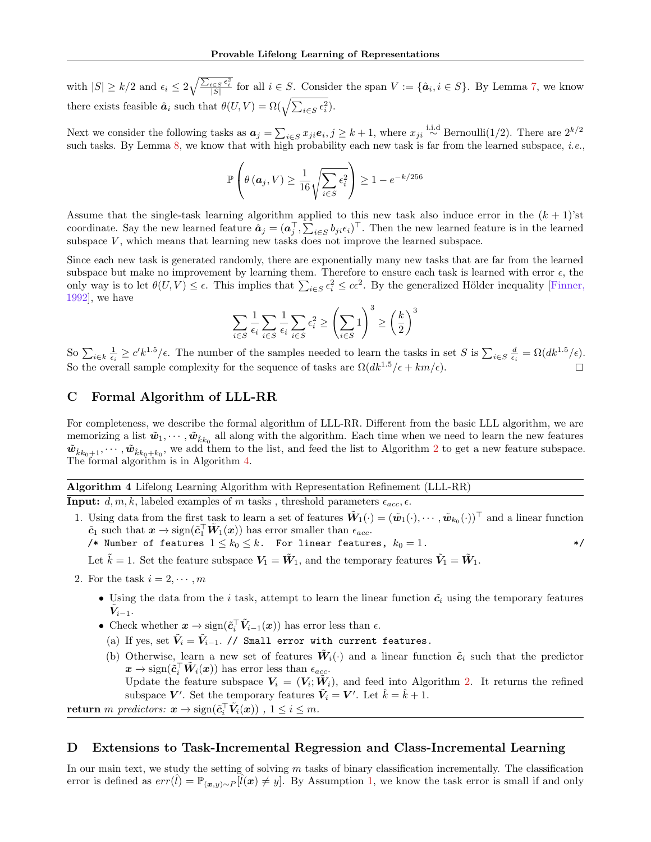<span id="page-19-2"></span>with  $|S| \geq k/2$  and  $\epsilon_i \leq 2\sqrt{\frac{\sum_{i \in S} \epsilon_i^2}{|S|}}$  for all  $i \in S$ . Consider the span  $V := \{\hat{a}_i, i \in S\}$ . By Lemma [7,](#page-16-0) we know there exists feasible  $\hat{a}_i$  such that  $\theta(U, V) = \Omega(\sqrt{\sum_{i \in S} \epsilon_i^2})$ .

Next we consider the following tasks as  $a_j = \sum_{i \in S} x_{ji} e_i, j \geq k+1$ , where  $x_{ji} \stackrel{\text{i.i.d}}{\sim} \text{Bernoulli}(1/2)$ . There are  $2^{k/2}$ such tasks. By Lemma [8,](#page-16-1) we know that with high probability each new task is far from the learned subspace, *i.e.*,

$$
\mathbb{P}\left(\theta\left(\boldsymbol{a}_j, V\right) \ge \frac{1}{16} \sqrt{\sum_{i \in S} \epsilon_i^2}\right) \ge 1 - e^{-k/256}
$$

Assume that the single-task learning algorithm applied to this new task also induce error in the  $(k + 1)$ 'st coordinate. Say the new learned feature  $\hat{a}_j = (a_j^\top, \sum_{i \in S} b_{ji} \epsilon_i)^\top$ . Then the new learned feature is in the learned subspace  $V$ , which means that learning new tasks does not improve the learned subspace.

Since each new task is generated randomly, there are exponentially many new tasks that are far from the learned subspace but make no improvement by learning them. Therefore to ensure each task is learned with error  $\epsilon$ , the only way is to let  $\theta(U, V) \leq \epsilon$ . This implies that  $\sum_{i \in S} \epsilon_i^2 \leq c\epsilon^2$ . By the generalized Hölder inequality [\[Finner,](#page-9-20) [1992\]](#page-9-20), we have

$$
\sum_{i \in S} \frac{1}{\epsilon_i} \sum_{i \in S} \frac{1}{\epsilon_i} \sum_{i \in S} \epsilon_i^2 \ge \left(\sum_{i \in S} 1\right)^3 \ge \left(\frac{k}{2}\right)^3
$$

So  $\sum_{i\in k}\frac{1}{\epsilon_i}\geq c'k^{1.5}/\epsilon$ . The number of the samples needed to learn the tasks in set S is  $\sum_{i\in S}\frac{d}{\epsilon_i}=\Omega(dk^{1.5}/\epsilon)$ . So the overall sample complexity for the sequence of tasks are  $\Omega(dk^{1.5}/\epsilon + km/\epsilon)$ .

## <span id="page-19-1"></span>C Formal Algorithm of LLL-RR

For completeness, we describe the formal algorithm of LLL-RR. Different from the basic LLL algorithm, we are memorizing a list  $\tilde{w}_1, \dots, \tilde{w}_{\hat{k}k_0}$  all along with the algorithm. Each time when we need to learn the new features  $\tilde{w}_{\hat{k}k_0+1},\cdots,\tilde{w}_{\hat{k}k_0+k_0}$ , we add them to the list, and feed the list to Algorithm [2](#page-4-4) to get a new feature subspace. The formal algorithm is in Algorithm [4.](#page-19-3)

## <span id="page-19-3"></span>Algorithm 4 Lifelong Learning Algorithm with Representation Refinement (LLL-RR) **Input:**  $d, m, k$ , labeled examples of m tasks, threshold parameters  $\epsilon_{acc}, \epsilon$ .

- 1. Using data from the first task to learn a set of features  $\tilde{W}_1(\cdot) = (\tilde{w}_1(\cdot), \cdots, \tilde{w}_{k_0}(\cdot))^{\top}$  and a linear function  $\tilde{c}_1$  such that  $x \to \text{sign}(\tilde{c}_1^{\top} \tilde{W}_1(x))$  has error smaller than  $\epsilon_{acc}$ .
	- /\* Number of features  $1 \le k_0 \le k$ . For linear features,  $k_0 = 1$ . \*/\*

Let  $\tilde{k} = 1$ . Set the feature subspace  $V_1 = \tilde{W}_1$ , and the temporary features  $\tilde{V}_1 = \tilde{W}_1$ .

- 2. For the task  $i = 2, \dots, m$ 
	- Using the data from the *i* task, attempt to learn the linear function  $\tilde{c}_i$  using the temporary features  $\tilde{\boldsymbol{V}}_{i-1}.$
	- Check whether  $x \to \text{sign}(\tilde{c}_i^{\top} \tilde{V}_{i-1}(x))$  has error less than  $\epsilon$ .
	- (a) If yes, set  $\tilde{V}_i = \tilde{V}_{i-1}$ . // Small error with current features.
	- (b) Otherwise, learn a new set of features  $\tilde{W}_i(\cdot)$  and a linear function  $\tilde{c}_i$  such that the predictor  $\bm{x} \to \text{sign}(\tilde{\bm{c}}_i^\top \tilde{\bm{W}}_i(\bm{x}))$  has error less than  $\epsilon_{acc}$ . Update the feature subspace  $V_i = (V_i; \tilde{W}_i)$ , and feed into Algorithm [2.](#page-4-4) It returns the refined subspace V'. Set the temporary features  $\tilde{V}_i = V'$ . Let  $\hat{k} = \hat{k} + 1$ .

return m predictors:  $\boldsymbol{x} \to \text{sign}(\tilde{c}_i^{\top} \tilde{V}_i(\boldsymbol{x}))$  ,  $1 \leq i \leq m$ .

## <span id="page-19-0"></span>D Extensions to Task-Incremental Regression and Class-Incremental Learning

In our main text, we study the setting of solving  $m$  tasks of binary classification incrementally. The classification error is defined as  $err(\hat{l}) = \mathbb{P}_{(x,y)\sim P}[\hat{l}(x) \neq y]$ . By Assumption [1,](#page-2-0) we know the task error is small if and only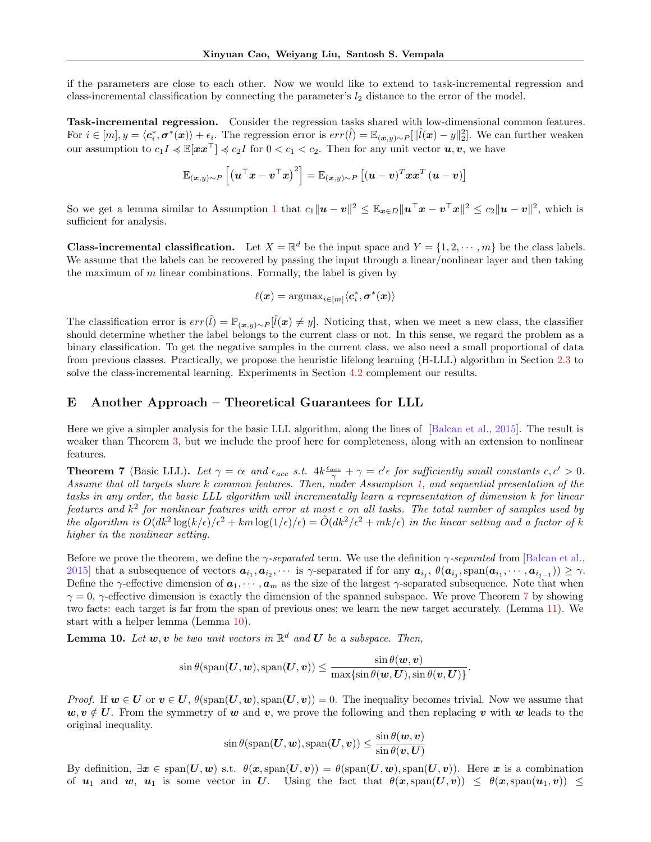<span id="page-20-0"></span>if the parameters are close to each other. Now we would like to extend to task-incremental regression and class-incremental classification by connecting the parameter's  $l_2$  distance to the error of the model.

Task-incremental regression. Consider the regression tasks shared with low-dimensional common features. For  $i \in [m], y = \langle c_i^*, \sigma^*(x) \rangle + \epsilon_i$ . The regression error is  $err(\hat{l}) = \mathbb{E}_{(x,y) \sim P}[\|\hat{l}(x) - y\|_2^2]$ . We can further weaken our assumption to  $c_1I \preccurlyeq \mathbb{E}[\mathbf{x} \mathbf{x}^\top] \preccurlyeq c_2I$  for  $0 < c_1 < c_2$ . Then for any unit vector  $\mathbf{u}, \mathbf{v}$ , we have

$$
\mathbb{E}_{(\boldsymbol{x},y) \sim P}\left[\left(\boldsymbol{u}^\top \boldsymbol{x} - \boldsymbol{v}^\top \boldsymbol{x}\right)^2\right] = \mathbb{E}_{(\boldsymbol{x},y) \sim P}\left[(\boldsymbol{u} - \boldsymbol{v})^T \boldsymbol{x} \boldsymbol{x}^T \left(\boldsymbol{u} - \boldsymbol{v}\right)\right]
$$

So we get a lemma similar to Assumption [1](#page-2-0) that  $c_1||u - v||^2 \leq \mathbb{E}_{\boldsymbol{x} \in D} ||\boldsymbol{u}^\top \boldsymbol{x} - \boldsymbol{v}^\top \boldsymbol{x}||^2 \leq c_2 ||\boldsymbol{u} - \boldsymbol{v}||^2$ , which is sufficient for analysis.

**Class-incremental classification.** Let  $X = \mathbb{R}^d$  be the input space and  $Y = \{1, 2, \dots, m\}$  be the class labels. We assume that the labels can be recovered by passing the input through a linear/nonlinear layer and then taking the maximum of  $m$  linear combinations. Formally, the label is given by

$$
\ell(\bm{x}) = \mathrm{argmax}_{i \in [m]} \langle \bm{c}_i^*, \bm{\sigma}^*(\bm{x}) \rangle
$$

The classification error is  $err(\hat{l}) = \mathbb{P}_{(x,y)\sim P}[\hat{l}(x) \neq y]$ . Noticing that, when we meet a new class, the classifier should determine whether the label belongs to the current class or not. In this sense, we regard the problem as a binary classification. To get the negative samples in the current class, we also need a small proportional of data from previous classes. Practically, we propose the heuristic lifelong learning (H-LLL) algorithm in Section [2.3](#page-5-4) to solve the class-incremental learning. Experiments in Section [4.2](#page-8-0) complement our results.

## E Another Approach – Theoretical Guarantees for LLL

Here we give a simpler analysis for the basic LLL algorithm, along the lines of [\[Balcan et al., 2015\]](#page-9-0). The result is weaker than Theorem [3,](#page-5-0) but we include the proof here for completeness, along with an extension to nonlinear features.

<span id="page-20-1"></span>**Theorem 7** (Basic LLL). Let  $\gamma = c\epsilon$  and  $\epsilon_{acc}$  s.t.  $4k\frac{\epsilon_{acc}}{\gamma} + \gamma = c'\epsilon$  for sufficiently small constants  $c, c' > 0$ . Assume that all targets share k common features. Then, under Assumption [1,](#page-2-0) and sequential presentation of the tasks in any order, the basic LLL algorithm will incrementally learn a representation of dimension k for linear features and  $k^2$  for nonlinear features with error at most  $\epsilon$  on all tasks. The total number of samples used by the algorithm is  $O(dk^2\log(k/\epsilon)/\epsilon^2 + km \log(1/\epsilon)/\epsilon) = \tilde{O}(dk^2/\epsilon^2 + mk/\epsilon)$  in the linear setting and a factor of k higher in the nonlinear setting.

Before we prove the theorem, we define the  $\gamma$ -separated term. We use the definition  $\gamma$ -separated from [\[Balcan et al.,](#page-9-0) [2015\]](#page-9-0) that a subsequence of vectors  $a_{i_1}, a_{i_2}, \cdots$  is  $\gamma$ -separated if for any  $a_{i_j}, \theta(a_{i_j}, \text{span}(a_{i_1}, \cdots, a_{i_{j-1}})) \geq \gamma$ . Define the  $\gamma$ -effective dimension of  $a_1, \dots, a_m$  as the size of the largest  $\gamma$ -separated subsequence. Note that when  $\gamma = 0$ ,  $\gamma$ -effective dimension is exactly the dimension of the spanned subspace. We prove Theorem [7](#page-20-1) by showing two facts: each target is far from the span of previous ones; we learn the new target accurately. (Lemma [11\)](#page-21-0). We start with a helper lemma (Lemma [10\)](#page-20-2).

<span id="page-20-2"></span>**Lemma 10.** Let  $w, v$  be two unit vectors in  $\mathbb{R}^d$  and  $U$  be a subspace. Then,

$$
\sin \theta ({\rm span}({\boldsymbol U}, {\boldsymbol w}),{\rm span}({\boldsymbol U}, {\boldsymbol v})) \leq \frac{\sin \theta({\boldsymbol w}, {\boldsymbol v})}{\max \{\sin \theta({\boldsymbol w}, {\boldsymbol U}), \sin \theta({\boldsymbol v}, {\boldsymbol U})\}}.
$$

*Proof.* If  $w \in U$  or  $v \in U$ ,  $\theta(\text{span}(U, w), \text{span}(U, v)) = 0$ . The inequality becomes trivial. Now we assume that  $w, v \notin U$ . From the symmetry of w and v, we prove the following and then replacing v with w leads to the original inequality.

$$
\sin \theta ({\rm span}({\boldsymbol U}, {\boldsymbol w}), {\rm span}({\boldsymbol U}, {\boldsymbol v})) \leq \frac{\sin \theta({\boldsymbol w}, {\boldsymbol v})}{\sin \theta({\boldsymbol v}, {\boldsymbol U})}
$$

By definition,  $\exists x \in \text{span}(U, w)$  s.t.  $\theta(x, \text{span}(U, v)) = \theta(\text{span}(U, w), \text{span}(U, v))$ . Here x is a combination of  $u_1$  and w,  $u_1$  is some vector in U. Using the fact that  $\theta(x, \text{span}(U, v)) \leq \theta(x, \text{span}(u_1, v)) \leq$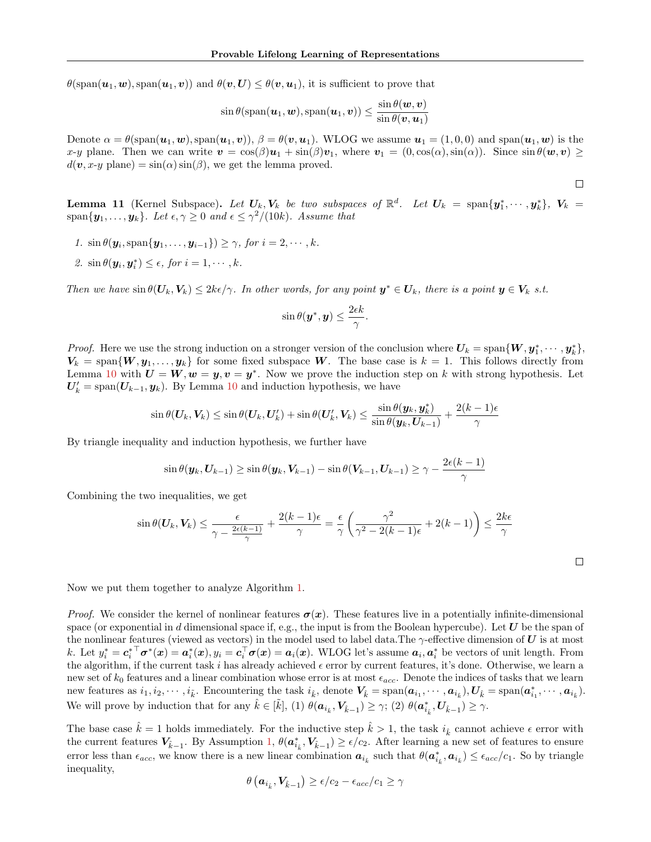$\theta(\text{span}(\boldsymbol{u}_1,\boldsymbol{w}),\text{span}(\boldsymbol{u}_1,\boldsymbol{v}))$  and  $\theta(\boldsymbol{v},\boldsymbol{U}) \leq \theta(\boldsymbol{v},\boldsymbol{u}_1)$ , it is sufficient to prove that

$$
\sin \theta(\text{span}(\boldsymbol{u}_1, \boldsymbol{w}), \text{span}(\boldsymbol{u}_1, \boldsymbol{v})) \leq \frac{\sin \theta(\boldsymbol{w}, \boldsymbol{v})}{\sin \theta(\boldsymbol{v}, \boldsymbol{u}_1)}
$$

Denote  $\alpha = \theta(\text{span}(\boldsymbol{u}_1, \boldsymbol{w}), \text{span}(\boldsymbol{u}_1, \boldsymbol{v}))$ ,  $\beta = \theta(\boldsymbol{v}, \boldsymbol{u}_1)$ . WLOG we assume  $\boldsymbol{u}_1 = (1, 0, 0)$  and  $\text{span}(\boldsymbol{u}_1, \boldsymbol{w})$  is the x-y plane. Then we can write  $\mathbf{v} = \cos(\beta)\mathbf{u}_1 + \sin(\beta)\mathbf{v}_1$ , where  $\mathbf{v}_1 = (0, \cos(\alpha), \sin(\alpha))$ . Since  $\sin \theta(\mathbf{w}, \mathbf{v}) \ge$  $d(\mathbf{v}, x\text{-}y \text{ plane}) = \sin(\alpha) \sin(\beta)$ , we get the lemma proved.

<span id="page-21-0"></span>**Lemma 11** (Kernel Subspace). Let  $U_k$ ,  $V_k$  be two subspaces of  $\mathbb{R}^d$ . Let  $U_k = \text{span}\{y_1^*, \cdots, y_k^*\}$ ,  $V_k =$ span $\{y_1, \ldots, y_k\}$ . Let  $\epsilon, \gamma \geq 0$  and  $\epsilon \leq \gamma^2/(10k)$ . Assume that

 $\Box$ 

 $\Box$ 

- 1.  $\sin \theta(\mathbf{y}_i, \text{span}\{\mathbf{y}_1, \dots, \mathbf{y}_{i-1}\}) \geq \gamma$ , for  $i = 2, \dots, k$ .
- 2.  $\sin \theta(\mathbf{y}_i, \mathbf{y}_i^*) \leq \epsilon$ , for  $i = 1, \dots, k$ .

Then we have  $\sin \theta(\mathbf{U}_k, \mathbf{V}_k) \leq 2k\epsilon/\gamma$ . In other words, for any point  $y^* \in U_k$ , there is a point  $y \in V_k$  s.t.

$$
\sin \theta(\boldsymbol{y}^*, \boldsymbol{y}) \leq \frac{2\epsilon k}{\gamma}.
$$

*Proof.* Here we use the strong induction on a stronger version of the conclusion where  $U_k = \text{span}\{W, y_1^*, \cdots, y_k^*\},$  $V_k = \text{span}\{W, y_1, \ldots, y_k\}$  for some fixed subspace W. The base case is  $k = 1$ . This follows directly from Lemma [10](#page-20-2) with  $U = W, w = y, v = y^*$ . Now we prove the induction step on k with strong hypothesis. Let  $U'_{k} = \text{span}(U_{k-1}, y_{k})$ . By Lemma [10](#page-20-2) and induction hypothesis, we have

$$
\sin\theta(\boldsymbol{U}_k,\boldsymbol{V}_k) \leq \sin\theta(\boldsymbol{U}_k,\boldsymbol{U}'_k) + \sin\theta(\boldsymbol{U}'_k,\boldsymbol{V}_k) \leq \frac{\sin\theta(\boldsymbol{y}_k,\boldsymbol{y}^*_k)}{\sin\theta(\boldsymbol{y}_k,\boldsymbol{U}_{k-1})} + \frac{2(k-1)\epsilon}{\gamma}
$$

By triangle inequality and induction hypothesis, we further have

$$
\sin\theta(\boldsymbol{y}_{k},\boldsymbol{U}_{k-1})\geq \sin\theta(\boldsymbol{y}_{k},\boldsymbol{V}_{k-1})-\sin\theta(\boldsymbol{V}_{k-1},\boldsymbol{U}_{k-1})\geq \gamma-\frac{2\epsilon(k-1)}{\gamma}
$$

Combining the two inequalities, we get

$$
\sin \theta(\boldsymbol{U}_k, \boldsymbol{V}_k) \le \frac{\epsilon}{\gamma - \frac{2\epsilon(k-1)}{\gamma}} + \frac{2(k-1)\epsilon}{\gamma} = \frac{\epsilon}{\gamma} \left( \frac{\gamma^2}{\gamma^2 - 2(k-1)\epsilon} + 2(k-1) \right) \le \frac{2k\epsilon}{\gamma}
$$

Now we put them together to analyze Algorithm [1.](#page-4-1)

*Proof.* We consider the kernel of nonlinear features  $\sigma(x)$ . These features live in a potentially infinite-dimensional space (or exponential in d dimensional space if, e.g., the input is from the Boolean hypercube). Let  $U$  be the span of the nonlinear features (viewed as vectors) in the model used to label data. The  $\gamma$ -effective dimension of U is at most k. Let  $y_i^* = c_i^{*\top} \sigma^*(x) = a_i^*(x), y_i = c_i^{\top} \sigma(x) = a_i(x)$ . WLOG let's assume  $a_i, a_i^*$  be vectors of unit length. From the algorithm, if the current task i has already achieved  $\epsilon$  error by current features, it's done. Otherwise, we learn a new set of  $k_0$  features and a linear combination whose error is at most  $\epsilon_{acc}$ . Denote the indices of tasks that we learn new features as  $i_1, i_2, \cdots, i_{\tilde{k}}$ . Encountering the task  $i_{\hat{k}}$ , denote  $V_{\hat{k}} = \text{span}(\boldsymbol{a}_{i_1}, \cdots, \boldsymbol{a}_{i_{\hat{k}}})$ ,  $U_{\hat{k}} = \text{span}(\boldsymbol{a}_{i_1}^*, \cdots, \boldsymbol{a}_{i_{\hat{k}}})$ . We will prove by induction that for any  $\hat{k} \in [\tilde{k}]$ , (1)  $\theta(\boldsymbol{a}_{i_{\hat{k}}}, \boldsymbol{V}_{\hat{k}-1}) \geq \gamma$ ; (2)  $\theta(\boldsymbol{a}_{i_{\hat{k}}}, \boldsymbol{U}_{\hat{k}-1}) \geq \gamma$ .

The base case  $\hat{k} = 1$  holds immediately. For the inductive step  $\hat{k} > 1$ , the task  $i_{\hat{k}}$  cannot achieve  $\epsilon$  error with the current features  $V_{\hat{k}-1}$ . By Assumption [1,](#page-2-0)  $\theta(\boldsymbol{a}_{i_{\hat{k}}}^*, V_{\hat{k}-1}) \ge \epsilon/c_2$ . After learning a new set of features to ensure error less than  $\epsilon_{acc}$ , we know there is a new linear combination  $a_{i_k}$  such that  $\theta(a_{i_k}^*, a_{i_k}) \leq \epsilon_{acc}/c_1$ . So by triangle inequality,

$$
\theta\left(\boldsymbol{a}_{i_{\hat{k}}}, \boldsymbol{V}_{\hat{k}-1}\right) \ge \epsilon/c_2 - \epsilon_{acc}/c_1 \ge \gamma
$$